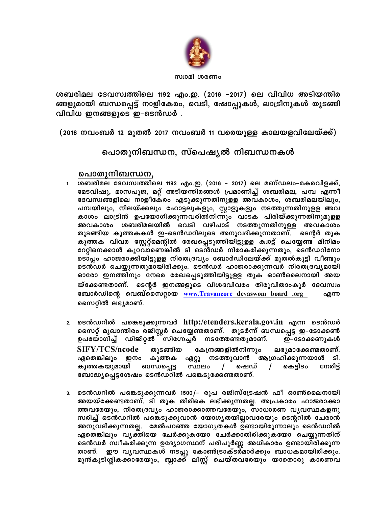

സ്വാമി ശരണം

ശബരിമല ദേവസ്വത്തിലെ 1192 എം.ഇ. (2016 –2017) ലെ വിവിധ അടിയന്തിര ങ്ങളുമായി ബന്ധപ്പെട്ട് നാളികേരം, വെടി, ഷോപ്പുകൾ, ലാട്രിനുകൾ തുടങ്ങി വിവിധ ഇനങ്ങളുടെ ഇ–ടെൻഡർ .

(2016 നവംബർ 12 മുതൽ 2017 നവംബർ 11 വരെയുള്ള കാലയളവിലേയ്ക്ക്)

# പൊതുനിബന്ധന<u>, സ്പെഷ്യൽ നിബന്ധനകൾ</u>

# പൊതുനിബന്ധന,

- ശബരിമല ദേവസ്വത്തിലെ 1192 എം.ഇ. (2016 2017) ലെ മണ്ഡലം-മകരവിളക്ക്,  $1.$ മേടവിഷു, മാസപൂജ, മറ്റ് അടിയന്തിരങ്ങൾ പ്രമാണിച്ച് ശബരിമല, പമ്പ എന്നീ ദേവസ്വങ്ങളിലെ നാളീകേരം എടുക്കുന്നതിനുളള അവകാശം, ശബരിമലയിലും, പമ്പയിലും, നിലയ്ക്കലും ഹോട്ടലുകളും, സ്റ്റാളുകളും നടത്തുന്നതിനുളള അവ കാശം ലാട്രിൻ ഉപയോഗിക്കുന്നവരിൽനിന്നും വാടക പിരിയ്ക്കുന്നതിനുമുളള അവകാശം ശബരിമലയിൽ വെടി വഴിപാട് നടത്തുന്നതിനുള്ള അവകാശം തുടങ്ങിയ കുത്തകകൾ ഇ–ടെൻഡറിലൂടെ അനുവദിക്കുന്നതാണ്. ടെന്റർ തുക കുത്തക വിവര സ്റ്റേറ്റ്മെന്റിൽ രേഖപ്പെടുത്തിയിട്ടുളള ക്വാട്ട് ചെയ്യേണ്ട മിനിമം റേറ്റിനെക്കാൾ കുറവാണെങ്കിൽ ടി ടെൻഡർ നിരാകരിക്കുന്നതും, ടെൻഡറിനോ ടൊപ്പം ഹാജരാക്കിയിട്ടുളള നിരതദ്രവ്യം ബോർഡിലേയ്ക്ക് മുതൽകൂട്ടി വീണ്ടും ടെൻഡർ ചെയ്യുന്നതുമായിരിക്കും. ടെൻഡർ ഹാജരാക്കുന്നവർ നിരതദ്രവൃമായി ഓരോ ഇനത്തിനും നേരെ രേഖപ്പെടുത്തിയിട്ടുളള തുക ഓൺലൈനായി അയ യ്ക്കേണ്ടതാണ്. ടെന്റർ ഇനങ്ങളുടെ വിശദവിവരം തിരുവിതാംകൂർ ദേവസ്വം ബോർഡിന്റെ വെബ്സൈറ്റായ www.Travancore devaswom board .org എന്ന സൈറ്റിൽ ലഭ്യമാണ്.
- $\,$ 2. ടെൻഡറിൽ പങ്കെടുക്കുന്നവർ http:/etenders.kerala.gov.in എന്ന ടെൻഡർ സൈറ്റ് മുഖാന്തിരം രജിസ്റ്റർ ചെയ്യേണ്ടതാണ്. തുടർന്ന് ബന്ധപ്പെട്ട ഇ–ടോക്കൺ ഉപയോഗിച്ച് ഡിജിറ്റൽ സിഗ്നേച്ചർ നടത്തേണ്ടതുമാണ്. ഇ–ടോക്കണുകൾ **SIFY/TCS/ncode** തുടങ്ങിയ കേന്ദ്രങ്ങളിൽനിന്നും ലഭ്യമാക്കേണ്ടതാണ്. നടത്തുവാൻ ആഗ്രഹിക്കുന്നയാൾ ടി. ഏതെങ്കിലും ഇനം കുത്തക ഏറ്റു കുത്തകയുമായി ബന്ധപ്പെട്ട സ്ഥലം  $\prime$ ഷെഡ്  $\sqrt{2}$ കെട്ടിടം നേരിട്ട് ബോദ്ധ്യപ്പെട്ടശേഷം ടെൻഡറിൽ പങ്കെടുക്കേണ്ടതാണ്.
- <sub>3.</sub> ടെൻഡറിൽ പങ്കെടുക്കുന്നവർ 1500/– രൂപ രജിസ്ട്രേഷൻ ഫീ ഓൺലൈനായി അയയ്ക്കേണ്ടതാണ്. ടി തുക തിരികെ ലഭിക്കുന്നതല്ല. അപ്രകാരം ഹാജരാക്കാ ത്തവരേയും, നിരതദ്രവൃം ഹാജരാക്കാത്തവരേയും, സാധാരണ വൃവസ്ഥകളനു സരിച്ച് ടെൻഡറിൽ പങ്കെടുക്കുവാൻ യോഗ്യതയില്ലാവരേയും ടെന്ററിൽ ചേരാൻ അനുവദിക്കുന്നതല്ല. മേൽപറഞ്ഞ യോഗൃതകൾ ഉണ്ടായിരുന്നാലും ടെൻഡറിൽ ഏതെങ്കിലും വൃക്തിയെ ചേർക്കുകയോ ചേർക്കാതിരിക്കുകയോ ചെയ്യുന്നതിന് ടെൻഡർ സ്വീകരിക്കുന്ന ഉദ്യോഗസ്ഥന് പരിപൂർണ്ണ അധികാരം ഉണ്ടായിരിക്കുന്ന ഈ വൃവസ്ഥകൾ നടപ്പു കോൺട്രാക്ടർമാർക്കും ബാധകമായിരിക്കും. താണ്. മുൻകൂടിശ്ശികക്കാരേയും, ബ്ലാക്ക് ലിസ്റ്റ് ചെയ്തവരേയും യാതൊരു കാരണവ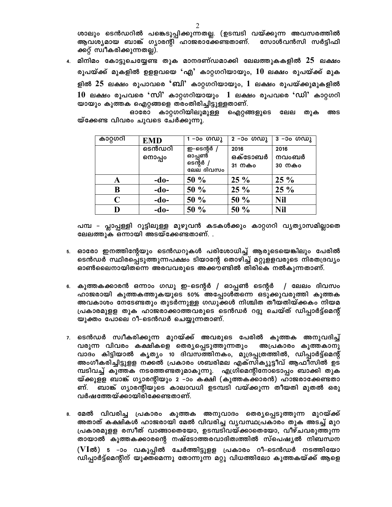ശാലും ടെൻഡറിൽ പങ്കെടുപ്പിക്കുന്നതല്ല. (ഉടമ്പടി വയ്ക്കുന്ന അവസരത്തിൽ ആവശ്യമായ ബാങ്ക് ഗ്യാരന്റി ഹാജരാക്കേണ്ടതാണ്. സോൾവൻസി സർട്ടിഫി ക്കറ്റ് സ്വീകരിക്കുന്നതല്ല).

4. മിനിമം കോട്ടുചെയ്യേണ്ട തുക മാനദണ്ഡമാക്കി ലേലത്തുകകളിൽ 25 ലക്ഷം രൂപയ്ക്ക് മുകളിൽ ഉളളവയെ 'എ' കാറ്റഗറിയായും,  $10$  ലക്ഷം രൂപയ്ക്ക് മുക ളിൽ  $25$  ലക്ഷം രൂപാവരെ 'ബി' കാറ്റഗറിയായും,  $1$  ലക്ഷം രൂപയ്ക്കുമുകളിൽ  $10$  ലക്ഷം രൂപവരെ 'സി' കാറ്റഗറിയായും  $1$  ലക്ഷം രൂപവരെ 'ഡി' കാറ്റഗറി യായും കുത്തക ഐറ്റങ്ങളെ തരംതിരിച്ചിട്ടുള്ളതാണ്.

ഓരോ കാറ്റഗറിയിലുമുള്ള ഐറ്റങ്ങളുടെ ലേല തുക അട യ്ക്കേണ്ട വിവരം ചുവടെ ചേർക്കുന്നു.

| കാറ്റഗറി    | <b>EMD</b> | $1 - 30$ $00W$        | $2 - 30$ $00$ | $3 - 30$ (O(W)) |
|-------------|------------|-----------------------|---------------|-----------------|
|             | ടെൻഡറി     | ഇ-ടെന്റർ              | 2016          | 2016            |
|             | നൊപ്പം     | ഓപ്പൺ                 | ഒക്ടോബർ       | നവംബർ           |
|             |            | ടെന്റർ /<br>ലേല ദിവസം | 31 നകം        | 30 നകം          |
|             |            |                       |               |                 |
| A           | $-do-$     | $50\%$                | $25\%$        | $25\%$          |
| B           | $-do-$     | $50\%$                | $25 \%$       | $25\%$          |
| $\mathbf C$ | $-do-$     | 50 %                  | 50 %          | <b>Nil</b>      |
| D           | $-do-$     | 50 %                  | 50 %          | <b>Nil</b>      |

പമ്പ - പ്ലാപ്പള്ളി റൂട്ടിലുള്ള മുഴുവൻ കടകൾക്കും കാറ്റഗറി വ്യത്യാസമില്ലാതെ ലേലത്തുക ഒന്നായി അടയ്ക്കേണ്ടതാണ്. .

- <sub>5.</sub> ഓരോ ഇനത്തിന്റേയും ടെൻഡറുകൾ പരിശോധിച്ച് ആരുടെയെങ്കിലും പേരിൽ ടെൻഡർ സ്ഥിരപ്പെടുത്തുന്നപക്ഷം ടിയാന്റേ തൊഴിച്ച് മറ്റുളളവരുടെ നിരതദ്രവ്യം ഓൺലൈനായിതന്നെ അരവവരുടെ അക്കൗണ്ടിൽ തിരികെ നൽകുന്നതാണ്.
- േ കുത്തകക്കാരൻ ഒന്നാം ഗഡു ഇ–ടെന്റർ / ഓപ്പൺ ടെന്റർ / ലേലം ദിവസം ഹാജരായി കുത്തകത്തുകയുടെ 50% അപ്പോൾതന്നെ ഒടുക്കുവരുത്തി കുത്തക അവകാശം നേടേണ്ടതും തുടർന്നുള്ള ഗഡുക്കൾ നിശ്ചിത തീയതിയ്ക്കകം നിയമ പ്രകാരമുളള തുക ഹാജരാക്കാത്തവരുടെ ടെൻഡർ റദ്ദു ചെയ്ത് ഡിപ്പാർട്ട്മെന്റ് യുക്തം പോലെ റീ–ടെൻഡർ ചെയ്യുന്നതാണ്.
- 7. ടെൻഡർ സ്വീകരിക്കുന്ന മുറയ്ക്ക് അവരുടെ പേരിൽ കുത്തക അനുവദിച്ച് വരുന്ന വിവരം കക്ഷികളെ തെര്യപ്പെടുത്തുന്നതും അപ്രകാരം കുത്തകാനു വാദം കിട്ടിയാൽ കൃത്യം 10 ദിവസത്തിനകം, മുദ്രപ്പത്രത്തിൽ, ഡിപ്പാർട്ട്മെന്റ് അംഗീകരിച്ചിട്ടുളള നക്കൽ പ്രകാരം ശബരിമല എക്സിക്യൂട്ടീവ് ആഫീസിൽ ഉട മ്പടിവച്ച് കുത്തക നടത്തേണ്ടതുമാകുന്നു. എഗ്രിമെന്റിനോടൊപ്പം ബാക്കി തുക യ്ക്കുളള ബാങ്ക് ഗ്യാരന്റിയും 2 –ാം കക്ഷി (കുത്തകക്കാരൻ) ഹാജരാക്കേണ്ടതാ ണ്. ബാങ്ക് ഗ്യാരന്റിയുടെ കാലാവധി ഉടമ്പടി വയ്ക്കുന്ന തീയതി മുതൽ ഒരു വർഷത്തേയ്ക്കായിരിക്കേണ്ടതാണ്.
- 8. മേൽ വിവരിച്ച പ്രകാരം കുത്തക അനുവാദം തെര്യപ്പെടുത്തുന്ന മുറയ്ക്ക് അതാത് കക്ഷികൾ ഹാജരായി മേൽ വിവരിച്ച വ്യവസ്ഥപ്രകാരം തുക അടച്ച് മുറ പ്രകാരമുളള രസീത് വാങ്ങാതെയോ, ഉടമ്പടിവയ്ക്കാതെയോ, വീഴ്ചവരുത്തുന്ന തായാൽ കുത്തകക്കാരന്റെ നഷ്ടോത്തരവാദിത്വത്തിൽ സ്പെഷ്യൽ നിബന്ധന (VIൽ) 5 -ാം വകുപ്പിൽ ചേർത്തിട്ടുളള പ്രകാരം റീ–ടെൻഡർ നടത്തിയോ ഡിപ്പാർട്ട്മെന്റിന് യുക്തമെന്നു തോന്നുന്ന മറ്റു വിധത്തിലോ കുത്തകയ്ക്ക് ആളെ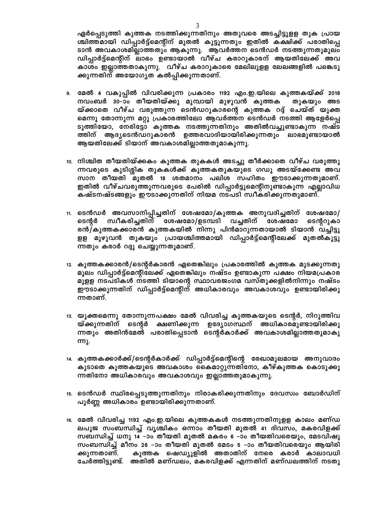ഏർപ്പെടുത്തി കുത്തക നടത്തിക്കുന്നതിനും അതുവരെ അടച്ചിട്ടുളള തുക പ്രായ ശ്ചിത്തമായി ഡിപ്പാർട്ട്മെന്റിന് മുതൽ കൂട്ടുന്നതും ഇതിൽ കക്ഷിക്ക് പരാതിപ്പെ ടാൻ അവകാശമില്ലാത്തതും ആകുന്നു. ആവർത്തന ടെൻഡർ നടത്തുന്നതുമൂലം ഡിപ്പാർട്ട്മെന്റിന് ലാഭം ഉണ്ടായാൽ വീഴ്ച കരാറുകാരന് ആയതിലേക്ക് അവ കാശം ഇല്ലാത്തതാകുന്നു. വീഴ്ച കരാറുകാരെ മേലിലുളള ലേലങ്ങളിൽ പങ്കെടു ക്കുന്നതിന് അയോഗൃത കൽപ്പിക്കുന്നതാണ്.

- 9. മേൽ 4 വകുപ്പിൽ വിവരിക്കുന്ന പ്രകാരം 1192 എം.ഇ.യിലെ കുത്തകയ്ക്ക് 2016 നവംബർ 30–ാം തീയതിയ്ക്കു മുമ്പായി മുഴുവൻ കുത്തക തുകയും അട യ്ക്കാതെ വീഴ്ച വരുത്തുന്ന ടെൻഡറുകാരന്റെ കുത്തക റദ്ദ് ചെയ്ത് യുക്ത മെന്നു തോന്നുന്ന മറ്റു പ്രകാരത്തിലോ ആവർത്തന ടെൻഡർ നടത്തി ആളേർപ്പെ ടുത്തിയോ, നേരിട്ടോ കുത്തക നടത്തുന്നതിനും അതിൽവച്ചുണ്ടാകുന്ന നഷ്ട ത്തിന് ആദ്യടെൻഡറുകാരൻ ഉത്തരവാദിയായിരിക്കുന്നതും ലാഭമുണ്ടായാൽ ആയതിലേക്ക് ടിയാന് അവകാശമില്ലാത്തതുമാകുന്നു.
- 10. നിശ്ചിത തീയതിയ്ക്കകം കുത്തക തുകകൾ അടച്ചു തീർക്കാതെ വീഴ്ച വരുത്തു ന്നവരുടെ കുടിശ്ശിക തുകകൾക്ക് കുത്തകതുകയുടെ ഗഡു അടയ്ക്കേണ്ട അവ സാന തീയതി മുതൽ 18 ശതമാനം പലിശ സഹിതം ഈടാക്കുന്നതുമാണ്. ഇതിൽ വീഴ്ചവരുത്തുന്നവരുടെ പേരിൽ ഡിപ്പാർട്ടുമെന്റിനുണ്ടാകുന്ന എല്ലാവിധ കഷ്ടനഷ്ടങ്ങളും ഇൗടാക്കുന്നതിന് നിയമ നടപടി സ്വീകരിക്കുന്നതുമാണ്.
- 11. ടെൻഡർ അവസാനിപ്പിച്ചതിന് ശേഷമോ/കുത്തക അനുവദിച്ചതിന് ശേഷമോ/ ടെന്റർ സ്വീകരിച്ചതിന് ശേഷമോ/ഉടമ്പടി വച്ചതിന് ശേഷമോ ടെന്ററുകാ രൻ/കുത്തകക്കാരൻ കുത്തകയിൽ നിന്നു പിൻമാറുന്നതായാൽ ടിയാൻ വച്ചിട്ടു ളള മുഴുവൻ തുകയും പ്രായശ്ചിത്തമായി ഡിപ്പാർട്ട്മെന്റിലേക്ക് മുതൽകൂട്ടു ന്നതും കരാർ റദ്ദു ചെയ്യുന്നതുമാണ്.
- 12. കുത്തകക്കാരൻ/ടെന്റർകാരൻ ഏതെങ്കിലും പ്രകാരത്തിൽ കുത്തക മുടക്കുന്നതു മൂലം ഡിപ്പാർട്ട്മെന്റിലേക്ക് ഏതെങ്കിലും നഷ്ടം ഉണ്ടാകുന്ന പക്ഷം നിയമപ്രകാര മുളള നടപടികൾ നടത്തി ടിയാന്റെ സ്ഥാവരജംഗമ വസ്തുക്കളിൽനിന്നും നഷ്ടം ഈടാക്കുന്നതിന് ഡിപ്പാർട്ട്മെന്റിന് അധികാരവും അവകാശവും ഉണ്ടായിരിക്കു ന്നതാണ്.
- 13. യുക്തമെന്നു തോന്നുന്നപക്ഷം മേൽ വിവരിച്ച കുത്തകയുടെ ടെന്റർ, നിറുത്തിവ യ്ക്കുന്നതിന് ടെന്റർ ക്ഷണിക്കുന്ന ഉദ്യോഗസ്ഥന് അധികാരമുണ്ടായിരിക്കു ന്നതും അതിൻമേൽ പരാതിപ്പെടാൻ ടെന്റർകാർക്ക് അവകാശമില്ലാത്തതുമാകു ന്നു.
- 14. കുത്തകക്കാർക്ക്/ടെന്റർകാർക്ക് ഡിപ്പാർട്ട്മെന്റിന്റെ രേഖാമൂലമായ അനുവാദം കൂടാതെ കുത്തകയുടെ അവകാശം കൈമാറ്റുന്നതിനോ, കീഴ്കുത്തക കൊടുക്കു ന്നതിനോ അധികാരവും അവകാശവും ഇല്ലാത്തതുമാകുന്നു.
- 15. ടെൻഡർ സ്ഥിരപ്പെടുത്തുന്നതിനും നിരാകരിക്കുന്നതിനും ദേവസ്വം ബോർഡിന് പൂർണ്ണ അധികാരം ഉണ്ടായിരിക്കുന്നതാണ്.
- 16. മേൽ വിവരിച്ച 1192 എം.ഇ.യിലെ കുത്തകകൾ നടത്തുന്നതിനുളള കാലം മണ്ഡ ലപൂജ സംബന്ധിച്ച് വൃശ്ചികം ഒന്നാം തീയതി മുതൽ 41 ദിവസം, മകരവിളക്ക് സബന്ധിച്ച് ധനു 14 –ാം തീയതി മുതൽ മകരം 6 –ാം തീയതിവരെയും, മേടവിഷു സംബന്ധിച്ച് മീനം 26 –ാം തീയതി മുതൽ മേടം 5 –ാം തീയതിവരെയും ആയിരി ക്കുന്നതാണ്. കുത്തക ഷെഡ്യൂളിൽ അതാതിന് നേരെ കരാർ കാലാവധി ചേർത്തിട്ടുണ്ട്. അതിൽ മണ്ഡലം, മകരവിളക്ക് എന്നതിന് മണ്ഡലത്തിന് നടതു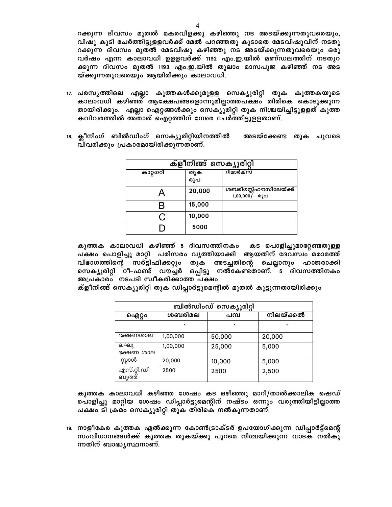റക്കുന്ന ദിവസം മുതൽ മകരവിളക്കു കഴിഞ്ഞു നട അടയ്ക്കുന്നതുവരെയും, വിഷു കൂടി ചേർത്തിട്ടുളളവർക്ക് മേൽ പറഞ്ഞതു കൂടാതെ മേടവിഷുവിന് നടതു റക്കുന്ന ദിവസം മുതൽ മേടവിഷു കഴിഞ്ഞു നട അടയ്ക്കുന്നതുവരെയും ഒരു വർഷം എന്ന കാലാവധി ഉള്ളവർക്ക് 1192 എം.ഇ.യിൽ മണ്ഡലത്തിന് നടതുറ ക്കുന്ന ദിവസം മുതൽ 1193 എം.ഇ.യിൽ തുലാം മാസപൂജ കഴിഞ്ഞ് നട അട യ്ക്കുന്നതുവരെയും ആയിരിക്കും കാലാവധി.

- 17. പരസ്യത്തിലെ എല്ലാ കുത്തകൾക്കുമുളള സെക്യൂരിറ്റി തുക കുത്തകയുടെ കാലാവധി കഴിഞ്ഞ് ആക്ഷേപങ്ങളൊന്നുമില്ലാത്തപക്ഷം തിരികെ കൊടുക്കുന്ന തായിരിക്കും. എല്ലാ ഐറ്റങ്ങൾക്കും സെക്യൂരിറ്റി തുക നിശ്ചയിച്ചിട്ടുളളത് കുത്ത കവിവരത്തിൽ അതാത് ഐറ്റത്തിന് നേരെ ചേർത്തിട്ടുളളതാണ്.
- 18. ക്ലീനിംഗ് ബിൽഡിംഗ് സെക്യൂരിറ്റിയിനത്തിൽ അടയ്ക്കേണ്ട തുക ചുവടെ വിവരിക്കും പ്രകാരമായിരിക്കുന്നതാണ്.

| ക്ളീനിങ്ങ് സെക്യൂരിറ്റി |            |                                           |  |  |  |
|-------------------------|------------|-------------------------------------------|--|--|--|
| കാറ്റഗറി                | തുക<br>രൂപ | റിമാർക്സ്                                 |  |  |  |
|                         | 20,000     | ശബരിഗസ്റ്റ്ഹൗസിലേയ്ക്ക്<br>1,00,000/- രൂപ |  |  |  |
|                         | 15,000     |                                           |  |  |  |
| ( )                     | 10,000     |                                           |  |  |  |
|                         | 5000       |                                           |  |  |  |

കുത്തക കാലാവധി കഴിഞ്ഞ് 5 ദിവസത്തിനകം കട പൊളിച്ചുമാറ്റേണ്ടതുള്ള പക്ഷം പൊളിച്ചു മാറ്റി പരിസരം വൃത്തിയാക്കി ആയതിന് ദേവസ്വം മരാമത്ത് വിഭാഗത്തിന്റെ സർട്ടിഫിക്കറ്റും തുക അടച്ചതിന്റെ ചെല്ലാനും ഹാജരാക്കി സെക്യൂരിറ്റി റീ–ഫണ്ട് വൗച്ചർ ഒപ്പിട്ടു നൽകേണ്ടതാണ്. ്ട ദിവസത്തിനകം അപ്രകാരം നടപടി സ്വീകരിക്കാത്ത പക്ഷം

ക്ളീനിങ്ങ് സെക്യൂരിറ്റി തുക ഡിപ്പാർട്ടുമെന്റിൽ മുതൽ കൂട്ടുന്നതായിരിക്കും

| ബിൽഡിംഡ് സെക്യൂരിറ്റി |          |         |           |  |  |  |
|-----------------------|----------|---------|-----------|--|--|--|
| ഐറ്റം                 | ശബരിമല   | പമ്പ    | നിലയ്ക്കൽ |  |  |  |
|                       | $\cdot$  | $\cdot$ | $\cdot$   |  |  |  |
| ഭക്ഷണശാല              | 1,00,000 | 50,000  | 20,000    |  |  |  |
| ലഘു<br>ഭക്ഷണ ശാല      | 1,00,000 | 25,000  | 5,000     |  |  |  |
| സ്റ്റാൾ               | 20,000   | 10,000  | 5,000     |  |  |  |
| എസ്.റ്റി.ഡി<br>ബുത്ത് | 2500     | 2500    | 2,500     |  |  |  |

കുത്തക കാലാവധി കഴിഞ്ഞ ശേഷം കട ഒഴിഞ്ഞു മാറി/താൽക്കാലിക ഷെഡ് പൊളിച്ചു മാറ്റിയ ശേഷം ഡിപ്പാർട്ടുമെന്റിന് നഷ്ടം ഒന്നും വരുത്തിയിട്ടില്ലാത്ത പക്ഷം ടി ക്രമം സെക്യൂരിറ്റി തുക തിരികെ നൽകുന്നതാണ്.

19. നാളീകേര കുത്തക ഏൽക്കുന്ന കോൺട്രാക്ടർ ഉപയോഗിക്കുന്ന ഡിപ്പാർട്ട്മെന്റ് സംവിധാനങ്ങൾക്ക് കുത്തക തുകയ്ക്കു പുറമെ നിശ്ചയിക്കുന്ന വാടക നൽകു ന്നതിന് ബാദ്ധ്യസ്ഥനാണ്.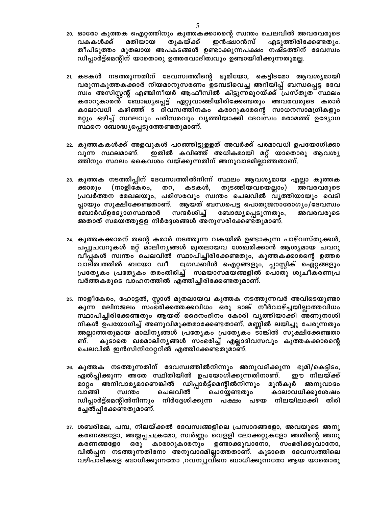- 20. ഓരോ കുത്തക ഐറ്റത്തിനും കുത്തകക്കാരന്റെ സ്വന്തം ചെലവിൽ അവരവരുടെ വകകൾക്ക് മതിയായ തുകയ്ക്ക് ഇൻഷ്വറൻസ് എടുത്തിരിക്കേണ്ടതും. തീപിടുത്തം മുതലായ അപകടങ്ങൾ ഉണ്ടാക്കുന്നപക്ഷം നഷ്ടത്തിന് ദേവസ്വം ഡിപ്പാർട്ട്മെന്റിന് യാതൊരു ഉത്തരവാദിത്വവും ഉണ്ടായിരിക്കുന്നതുമല്ല.
- 21. കടകൾ നടത്തുന്നതിന് ദേവസ്വത്തിന്റെ ഭൂമിയോ, കെട്ടിടമോ ആവശ്യമായി വരുന്നകുത്തകക്കാർ നിയമാനുസരണം ഉടമ്പടിവെച്ച അറിയിപ്പ് ബന്ധപ്പെട്ട ദേവ സ്വം അസിസ്റ്റന്റ് എഞ്ചിനീയർ ആഫീസിൽ കിട്ടുന്നമുറയ്ക്ക് പ്രസ്തുത സ്ഥലം കരാറുകാരൻ ബോദ്ധ്യപ്പെട്ട് ഏറ്റുവാങ്ങിയിരിക്കേണ്ടതും അവരവരുടെ കരാർ കാലാവധി കഴിഞ്ഞ് 5 ദിവസത്തിനകം കരാറുകാരന്റെ സാധനസാമഗ്രികളും മറ്റും ഒഴിച്ച് സ്ഥലവും പരിസരവും വൃത്തിയാക്കി ദേവസ്വം മരാമത്ത് ഉദ്യോഗ സ്ഥനെ ബോദ്ധ്യപ്പെടുത്തേണ്ടതുമാണ്.
- 22. കുത്തകകൾക്ക് അളവുകൾ പറഞ്ഞിട്ടുളളത് അവർക്ക് പരമാവധി ഉപയോഗിക്കാ ഇതിൽ കവിഞ്ഞ് അധികമായി മറ്റ് യാതൊരു ആവശ്യ വുന്ന സ്ഥലമാണ്. ത്തിനും സ്ഥലം കൈവശം വയ്ക്കുന്നതിന് അനുവാദമില്ലാത്തതാണ്.
- 23. കുത്തക നടത്തിപ്പിന് ദേവസ്വത്തിൽനിന്ന് സ്ഥലം ആവശ്യമായ എല്ലാ കുത്തക (നാളികേരം, കടകൾ, തുടങ്ങിയവയെല്ലാം) ക്കാരും തറ, അവരവരുടെ പ്രവർത്തന മേഖലയും, പരിസരവും സ്വന്തം ചെലവിൽ വൃത്തിയായും വെടി പ്പായും സൂക്ഷിക്കേണ്ടതാണ്. ആയത് ബന്ധപെട്ട പൊതുജനാരോഗ്യം/ദേവസ്വം ബോർഡ്ഉദ്യോഗസ്ഥന്മാർ സന്ദർശിച്ച് ബോദ്ധ്യപ്പെടുന്നതും, അവരവരുടെ അതാത് സമയത്തുളള നിർദ്ദേശങ്ങൾ അനുസരിക്കേണ്ടതുമാണ്.
- 24. കുത്തകക്കാരന് തന്റെ കരാർ നടത്തുന്ന വകയിൽ ഉണ്ടാകുന്ന പാഴ്വസ്തുക്കൾ, ചപ്പുചവറുകൾ മറ്റ് മാലിന്യങ്ങൾ മുതലായവ ശേഖരിക്കാൻ ആശ്യമായ ചവറു വീപ്പകൾ സ്വന്തം ചെലവിൽ സ്ഥാപിച്ചിരിക്കേണ്ടതും, കുത്തകക്കാരന്റെ ഉത്തര ഗ്രേഡബിൾ ഐറ്റങ്ങളും, പ്ലാസ്റ്റിക് ഐറ്റങ്ങളും വാദിത്വത്തിൽ ബയോ ഡീ പ്രത്യേകം പ്രത്യേകം തരംതിരിച്ച് സമയാസമയങ്ങളിൽ പൊതു ശുചീകരണപ്ര വർത്തകരുടെ വാഹനത്തിൽ എത്തിച്ചിരിക്കേണ്ടതുമാണ്.
- 25. നാളീകേരം, ഹോട്ടൽ, സ്റ്റാൾ മുതലായവ കുത്തക നടത്തുന്നവർ അവിടെയുണ്ടാ കുന്ന മലിനജലം സംഭരിക്കത്തക്കവിധം ഒരു ടാങ്ക് നീർവാഴ്ച്ചയില്ലാത്തവിധം സ്ഥാപിച്ചിരിക്കേണ്ടതും ആയത് ദൈനംദിനം കോരി വൃത്തിയാക്കി അണുനാശി നികൾ ഉപയോഗിച്ച് അണുവിമുക്തമാക്കേണ്ടതാണ്. മണ്ണിൽ ലയിച്ചു ചേരുന്നതും അല്ലാത്തതുമായ മാലിന്യങ്ങൾ പ്രത്യേകം പ്രത്യേകം ടാങ്കിൽ സൂക്ഷിക്കേണ്ടതാ ണ്. കൂടാതെ ഖരമാലിന്യങ്ങൾ സംഭരിച്ച് എല്ലാദിവസവും കുത്തകക്കാരന്റെ ചെലവിൽ ഇൻസിനിറേറ്ററിൽ എത്തിക്കേണ്ടതുമാണ്.
- 26. കുത്തക നടത്തുന്നതിന് ദേവസ്വത്തിൽനിന്നും അനുവദിക്കുന്ന ഭൂമി/കെട്ടിടം, ഏൽപ്പിക്കുന്ന അതേ സ്ഥിതിയിൽ ഉപയോഗിക്കുന്നതിനാണ്. ഈ നിലയ്ക്ക് മാറ്റം അനിവാര്യമാണെങ്കിൽ ഡിപ്പാർട്ട്മെന്റിൽനിന്നും മുൻകൂർ അനുവാദം ചെയ്യേണ്ടതും ചെലവിൽ വാങ്ങി സ്വന്തം കാലാവധിക്കുശേഷം ഡിപ്പാർട്ട്മെന്റിൽനിന്നും നിർദ്ദേശിക്കുന്ന പക്ഷം പഴയ നിലയിലാക്കി തിരി ച്ചേൽപ്പിക്കേണ്ടതുമാണ്.
- 27. ശബരിമല, പമ്പ, നിലയ്ക്കൽ ദേവസ്വങ്ങളിലെ പ്രസാദങ്ങളോ, അവയുടെ അനു കരണങ്ങളോ, അയ്യപ്പചക്രമോ, സ്വർണ്ണം വെളളി ലോക്കറ്റുകളോ അതിന്റെ അനു കരണങ്ങളോ കാരാറുകാരനും ഉണ്ടാക്കുവാനോ, സംഭരിക്കുവാനോ, ഒരു വിൽപ്പന നടത്തുന്നതിനോ അനുവാദമില്ലാത്തതാണ്. കൂടാതെ ദേവസ്വത്തിലെ വഴിപാടികളെ ബാധിക്കുന്നതോ ,റവന്യൂവിനെ ബാധിക്കുന്നതോ ആയ യാതൊരു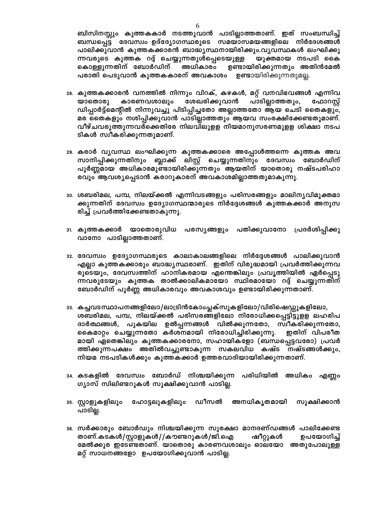ബിസിനസ്സും കുത്തകകാർ നടത്തുവാൻ പാടില്ലാത്തതാണ്. ഇത് സംബന്ധിച്ച് ബന്ധപ്പെട്ട ദേവസ്വം ഉദ്ദ്യോഗസ്ഥരുടെ സമയാസമയങ്ങളിലെ നിർദേശങ്ങൾ പാലിക്കുവാൻ കുത്തകക്കാരൻ ബാദ്ധ്യസ്ഥനായിരിക്കും.വൃവസ്ഥകൾ ലംഘിക്കു ന്നവരുടെ കുത്തക റദ്ദ് ചെയ്യുന്നതുൾപ്പെടെയുള്ള യുക്തമായ നടപടി കൈ കൊള്ളുന്നതിന് ബോർഡിന് അധികാരം ഉണ്ടായിരിക്കുന്നതും അതിൻമേൽ പരാതി പെടുവാൻ കുത്തകകാരന് അവകാശം ഉണ്ടായിരിക്കുന്നതുമല്ല.

- 28. കുത്തകക്കാരൻ വനത്തിൽ നിന്നും വിറക്, കഴകൾ, മറ്റ് വനവിഭവങ്ങൾ എന്നിവ ശേഖരിക്കുവാൻ പാടില്ലാത്തതും, യാതൊരു കാരണവശാലും ഫോറസ്റ്റ് ഡിപ്പാർട്ട്മെന്റിൽ നിന്നുവച്ചു പിടിപ്പിച്ചതോ അല്ലാത്തതോ ആയ ചെടി തൈകളും, മര തൈകളും നശിപ്പിക്കുവാൻ പാടില്ലാത്തതും ആയവ സംരക്ഷിക്കേണ്ടതുമാണ്. വീഴ്ചവരുത്തുന്നവർ്ക്കെതിരേ നിലവിലുളള നിയമാനുസരണമുളള ശിക്ഷാ നടപ ടികൾ സ്വീകരിക്കുന്നതുമാണ്.
- 29. കരാർ വൃവസ്ഥ ലംഘിക്കുന്ന കുത്തകക്കാരെ അപ്പോൾത്തന്നെ കുത്തക അവ സാനിപ്പിക്കുന്നതിനും ബ്ലാക്ക് ലിസ്റ്റ് ചെയ്യുന്നതിനും ദേവസ്വം ബോർഡിന് പൂർണ്ണമായ അധികാരമുണ്ടായിരിക്കുന്നതും ആയതിന് യാതൊരു നഷ്ടപരിഹാ രവും ആവശ്യപ്പെടാൻ കരാറുകാരന് അവകാശമില്ലാത്തതുമാകുന്നു.
- <u>ാം. ശബരിമല, പമ്പ, നിലയ്ക്കൽ എന്നിവടങ്ങളും പരിസരങ്ങളും മാലിനൃവിമുക്തമാ</u> ക്കുന്നതിന് ദേവസ്വം ഉദ്യോഗസ്ഥന്മാരുടെ നിർദ്ദേശങ്ങൾ കുത്തകക്കാർ അനുസ രിച്ച് പ്രവർത്തിക്കേണ്ടതാകുന്നു.
- 31. കുത്തകക്കാർ യാതൊരുവിധ പരസ്യങ്ങളും പതിക്കുവാനോ പ്രദർശിപ്പിക്കു വാനോ പാടില്ലാത്തതാണ്.
- 32. ദേവസ്വം ഉദ്യോഗസ്ഥരുടെ കാലാകാലങ്ങളിലെ നിർദ്ദേശങ്ങൾ പാലിക്കുവാൻ എല്ലാ കുത്തകക്കാരും ബാദ്ധ്യസ്ഥരാണ്. ഇതിന് വിരുദ്ധമായി പ്രവർത്തിക്കുന്നവ രുടെയും, ദേവസ്വത്തിന് ഹാനികരമായ എന്തെങ്കിലും പ്രവൃത്തിയിൽ ഏർപ്പെടു ന്നവരുടേയും കുത്തക താൽക്കാലികമായോ സ്ഥിരമായോ റദ്ദ് ചെയ്യുന്നതിന് ബോർഡിന് പൂർണ്ണ അധികാരവും അവകാശവും ഉണ്ടായിരിക്കുന്നതാണ്.
- 33. കച്ചവടസ്ഥാപനങ്ങളിലോ/ലാട്രിൻകോംപ്ലക്സുകളിലോ/വിരിഷെഡ്ഡുകളിലോ, ശബരിമല, പമ്പ, നിലയ്ക്കൽ പരിസരങ്ങളിലോ നിരോധിക്കപ്പെട്ടിട്ടുളള ലഹരിപ ദാർത്ഥങ്ങൾ, പുകയില ഉൽപ്പന്നങ്ങൾ വിൽക്കുന്നതോ, സ്വീകരിക്കുന്നതോ, കൈമാറ്റം ചെയ്യുന്നതോ കർശനമായി നിരോധിച്ചിരിക്കുന്നു. ഇതിന് വിപരീത മായി ഏതെങ്കിലും കുത്തകക്കാരനോ, സഹായികളോ (ബന്ധപ്പെട്ടവരോ) പ്രവർ ത്തിക്കുന്നപക്ഷം അതിൽവച്ചുണ്ടാകുന്ന സകലവിധ കഷ്ട നഷ്ടങ്ങൾക്കും, നിയമ നടപടികൾക്കും കുത്തകക്കാർ ഉത്തരവാദിയായിരിക്കുന്നതാണ്.
- 34. കടകളിൽ ദേവസ്വം ബോർഡ് നിശ്ചയിക്കുന്ന പരിധിയിൽ അധികം എണ്ണം ഗ്യാസ് സിലിണ്ടറുകൾ സൂക്ഷിക്കുവാൻ പാടില്ല.
- ങ. സ്റ്റാളുകളിലും ഹോട്ടലുകളിലും ഡീസൽ അനധികൃതമായി സൂക്ഷിക്കാൻ പാടില്ല.
- ഃം. സർക്കാരും ബോർഡും നിശ്ചയിക്കുന്ന സുരക്ഷാ മാനദണ്ഡങ്ങൾ പാലിക്കേണ്ട താണ്.കടകൾ/സ്റ്റാളുകൾ//കൗണ്ടറുകൾ/ജി.ഐ ഷീറ്റുകൾ ഉപയോഗിച്ച് മേൽക്കൂര ഇടേണ്ടതാണ്. യാതൊരു കാരണവശാലും ഓലയോ അതുപോലുള്ള മറ്റ് സാധനങ്ങളോ ഉപയോഗിക്കുവാൻ പാടില്ല.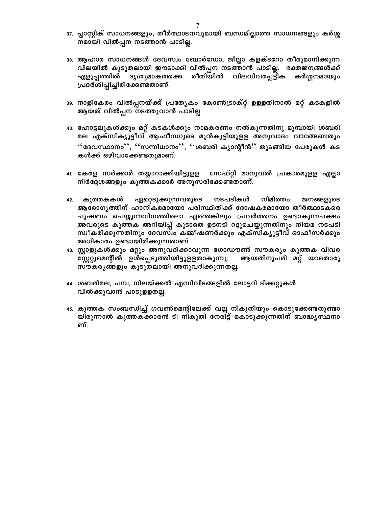- $\,$ ു പ്ലാസ്റ്റിക് സാധനങ്ങളും, തീർത്ഥാടനവുമായി ബന്ധമില്ലാത്ത സാധനങ്ങളും കർശ്ശ നമായി വിൽപ്പന നടത്താൻ പാടില്ല.
- 38. ആഹാര സാധനങ്ങൾ ദേവസ്വം ബോർഡോ, ജില്ലാ കളക്ടറോ തീരുമാനിക്കുന്ന വിലയിൽ കൂടുതലായി ഈടാക്കി വിൽപ്പന നടത്താൻ പാടില്ല. ഭക്തജനങ്ങൾക്ക് എളുപ്പത്തിൽ ദൃശ്യമാകത്തക്ക രീതിയിൽ വിലവിവരപ്പട്ടിക കർശ്ശനമായും പ്രദർശിപ്പിച്ചിരിക്കേണ്ടതാണ്.
- 39. നാളികേരം വിൽപ്പനയ്ക്ക് പ്രത്യേകം കോൺട്രാക്റ്റ് ഉള്ളതിനാൽ മറ്റ് കടകളിൽ ആയത് വിൽപ്പന നടത്തുവാൻ പാടില്ല.
- 40. ഹോട്ടലുകൾക്കും മറ്റ് കടകൾക്കും നാമകരണം നൽകുന്നതിനു മുമ്പായി ശബരി മല എക്സിക്യൂട്ടീവ് ആഫീസറുടെ മുൻകൂട്ടിയുളള അനുവാദം വാങ്ങേണ്ടതും **'**'ദേവസ്ഥാനം'', ''സന്നിധാനം'', ''ശബരി ക്യാന്റീൻ'' തുടങ്ങിയ പേരുകൾ കട കൾക്ക് ഒഴിവാക്കേണ്ടതുമാണ്.
- 41. കേരള സർക്കാർ തയ്യാറാക്കിയിട്ടുളള സേഫ്റ്റി മാനുവൽ പ്രകാരമുളള എല്ലാ നിർദ്ദേശങ്ങളും കുത്തകക്കാർ അനുസരിക്കേണ്ടതാണ്.
- 42. കുത്തകകൾ ഏറ്റെടുക്കുന്നവരുടെ നടപടികൾ നിമിത്തം ജനങ്ങളുടെ ആരോഗ്യത്തിന് ഹാനികരമായോ പരിസ്ഥിതിക്ക് ദോഷകരമായോ തീർത്ഥാടകരെ ചൂഷണം ചെയ്യുന്നവിധത്തിലൊ എന്തെങ്കിലും പ്രവർത്തനം ഉണ്ടാകുന്നപക്ഷം അവരുടെ കുത്തക അറിയിപ്പ് കൂടാതെ ഉടനടി റദ്ദുചെയ്യുന്നതിനും നിയമ നടപടി സ്വീകരിക്കുന്നതിനും ദേവസ്വം കമ്മീഷണർക്കും എക്സിക്യൂട്ടീവ് ഓഫീസർക്കും അധികാരം ഉണ്ടായിരിക്കുന്നതാണ്.
- 43. സ്റ്റാളുകൾക്കും മറ്റും അനുവദിക്കാവുന്ന ഗോഡൗൺ സൗകര്യം കുത്തക വിവര സ്റ്റേറ്റുമെന്റിൽ ഉൾപ്പെടുത്തിയിട്ടുളളതാകുന്നു. ആയതിനുപരി മറ്റ് യാതൊരു സൗകര്യങ്ങളും കൂടുതലായി അനുവദിക്കുന്നതല്ല.
- 44. ശബരിമല, പമ്പ, നിലയ്ക്കൽ എന്നിവിടങ്ങളിൽ ലോട്ടറി ടിക്കറ്റുകൾ വിൽക്കുവാൻ പാടുളളതല്ല.
- 45. കുത്തക സംബന്ധിച്ച് ഗവൺമെന്റിലേക്ക് വല്ല നികുതിയും കൊടുക്കേണ്ടതുണ്ടാ യിരുന്നാൽ കുത്തകക്കാരൻ ടി നികുതി നേരി്ട്ട് കൊടുക്കുന്നതിന് ബാദ്ധ്യസ്ഥനാ ണ്.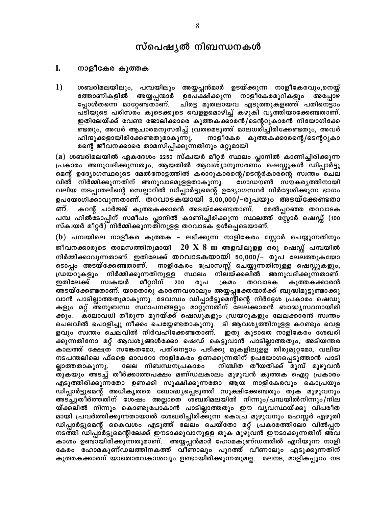# സ്പെഷ്യൽ നിബന്ധനകൾ

#### L നാളീകേര കുത്തക

1) ശബരിമലയിലും, പമ്പയിലും അയ്യപ്പൻമാർ ഉടയ്ക്കുന്ന നാളീകേരവും,നെയ്യ് അയ്യപ്പന്മാർ ഉപേക്ഷിക്കുന്ന നാളീകേരമുറികളും ത്തോണികളിൽ അപോഴ പ്പോൾതന്നെ മാറ്റേണ്ടതാണ്. ചിരട്ട മുതലായവ എടുത്തുകളഞ്ഞ് പതിനെട്ടാം പ്ടിയുടെ പരിസര്ം കൂടെക്കൂടെ വെളളമൊഴിച്ച് കഴുകി വൃത്തിയാക്കേണ്ടതാണ്. ഇതിലേയ്ക്ക് വേണ്ട ജോലിക്കാരെ കുത്തകക്കാരൻ/ടെന്ററുകാരൻ നിയോഗിക്കേ ണ്ടതും, അവർ ആചാരമനുസരിച്ച് വ്രതമെടുത്ത് മാലധരിച്ചിരിക്കേണ്ടതും, അവർ ഹിന്ദുക്കളായിരിക്കേണ്ടതുമാകുന്നു. നാളീകേര കുത്തകക്കാരന്റെ/ടെന്ററുകാ രന്റെ ജീവനക്കാരെ താമസിപ്പിക്കുന്നതിനും മറ്റുമായി

(a) ശബരിമലയിൽ ഏകദേശം 2250 സ്ക്വയർ മീറ്റർ സ്ഥലം പ്ലാനിൽ കാണിച്ചിരിക്കുന്ന പ്രകാരം അനുവദിക്കുന്നതും, ആയതിൽ ആവശ്യാനുസരണം ഷെഡ്ഡുകൾ ഡിപ്പാർട്ടു മെന്റ് ഉദ്യോഗസ്ഥരുടെ മേൽനോട്ടത്തിൽ കരാറുകാരന്റെ/ടെന്റർകാരന്റെ സ്വന്തം ചെല വിൽ നിർമ്മിക്കുന്നതിന് അനുവാദമുളളതാകുന്നു. ഗോഡൗൺ സൗകരൃത്തിനായി വലിയ നടപ്പന്തലിന്റെ സെല്ലാറിൽ ഡിപ്പാർട്ടുമെന്റ് ഉദ്യോഗസ്ഥർ നിർദ്ദേശിക്കുന്ന ഭാഗം ഉപയോഗിക്കാവുന്നതാണ്. തറവാടകയായി 3,00,000/–രൂപയും അടയ്ക്കേണ്ടതാ കറന്റ് ചാർജ്ജ് കുത്തകക്കാരൻ അടയ്ക്കേണ്ടതാണ്. ണ്. മേൽപ്പറഞ്ഞ തറവാടക പമ്പ ഹിൽടോപ്പിന് സമീപം പ്ലാനിൽ കാണിച്ചിരിക്കുന്ന സ്ഥലത്ത് സ്റ്റോർ ഷെഡ്സ് (100 സ്ക്വയർ മീറ്റർ) നിർമ്മിക്കുന്നതിനുളള തറവാടക ഉൾപ്പെടെയാണ്.

(b) പമ്പയിലെ നാളീകര കുത്തക – ലഭിക്കുന്ന നാളികേരം സ്റ്റോർ ചെയ്യുന്നതിനും ജീവനക്കാരുടെ താമസത്തിനുമായി  $\,$   $20\,$   $\rm X$   $\,8\,$   $\rm m\,$  അളവിലുളള ഒരു ഷെഡ്സ് പമ്പയിൽ നിർമ്മിക്കാവുന്നതാണ്. ഇതിലേക്ക് തറവാടകയായി 50,000/- രൂപ ലേലത്തുകയോ ടൊപ്പം അടയ്ക്കേണ്ടതാണ്. നാളികേരം പ്രോസസ്സ് ചെയ്യുന്നതിനുള്ള ഷെഡ്ഡുകളും, നിർമ്മിക്കുന്നതിനുള്ള സ്ഥലം നിലയ്ക്കലിൽ അനുവദിക്കുന്നതാണ്. ഡ്രയറുകളും മീറ്ററിന് കുത്തകക്കാരൻ ഇതിലേക്ക് സ്വകയർ 200 രൂപ ക്രമം തറവാടക അടയ്ക്കേണ്ടതാണ്. യാതൊരു കാരണവശാലും അയ്യപ്പഭക്തന്മാർക്ക് ബുദ്ധിമുട്ടുണ്ടാക്കു വാൻ പാടില്ലാത്തതുമാകുന്നു. ദേവസ്വം ഡിപ്പാർട്ടുമെന്റിന്റെ നിർദ്ദേശ പ്രകാരം ഷെഡു കളും മറ്റ് അനുബന്ധ സ്ഥാപനങ്ങളും മാറ്റുന്നതിന് ലേലക്കാരൻ ബാദ്ധ്യസ്ഥനായിരി കാലാവധി തീരുന്ന മുറയ്ക്ക് ഷെഡുകളും ഡ്രയറുകളും ലേലക്കാരൻ സ്വന്തം ക്കും. ചെലവിൽ പൊളിച്ചു നീക്കം ചെയ്യേണ്ടതാകുന്നു. ടി ആവശ്യത്തിനുളള കറണ്ടും വെള ളവും സ്വന്തം ചെലവിൽ നിർവഹിക്കേണ്ടതാണ്. ഇതു കൂടാതെ നാളികേരം ശേഖരി ക്കുന്നതിനോ മറ്റ് ആവശ്യങ്ങൾക്കോ ഷെഡ് കെട്ടുവാൻ പാടില്ലാത്തതും, അടിയന്തര കാലത്ത് ക്ഷേത്ര സങ്കേതമോ, പതിനെട്ടാം പടിക്കു മുകളിലുള്ള തിരുമുറ്റമോ, വലിയ നടപന്തലിലെ ഫ്ളൈ ഓവറോ നാളികേരം ഉണക്കുന്നതിന് ഉപയോഗപ്പെടുത്താൻ പാടി ലേല നിബന്ധനപ്രകാരം നിശ്ചിത തീയതിക്ക് മുമ്പ് മുഴുവൻ ല്ലാത്തതാകുന്നു. തുകയും അടച്ച് തീർക്കാത്തപക്ഷം മണ്ഡലകാലം മുഴുവൻ കുത്തക ഐറ്റ പ്രകാരം എടുത്തിരിക്കുന്നതോ ഉണക്കി സൂക്ഷിക്കുന്നതോ ആയ നാളികേരവും കൊപ്രയും ഡിപ്പാർട്ടുമെന്റ് അധികൃതരെ ബോദ്ധ്യപ്പെടുത്തി സൂക്ഷിക്കേണ്ടതും തുക മുഴുവനും അടച്ചുതീർത്തതിന് ശേഷം അല്ലാതെ ശബരിമലയിൽ നിന്നും/പമ്പയിൽനിന്നും/നില യ്ക്കലിൽ നിന്നും കൊണ്ടുപോകാൻ പാടില്ലാത്തതും ഈ വൃവസ്ഥയ്ക്കു വിപരീത മായി പ്രവർത്തിക്കുന്നതായാൽ ശേഖരിച്ചിരിക്കുന്ന കൊപ്ര മുഴുവനും മഹസ്സർ എഴുതി ഡിപ്പാർട്ടുമെന്റ് കൈവശം എടുത്ത് ലേലം ചെയ്തോ മറ്റ് പ്രകാരത്തിലോ വിൽപ്പന നടത്തി ഡിപ്പാർട്ടുമെന്റിലേക്ക് ഈടാക്കുവാനുളള തുക മുഴുവൻ ഈടാക്കുന്നതിന് അവ കാശം ഉണ്ടായിരിക്കുന്നതുമാണ്. അയ്യപ്പൻമാർ ഹോമകുണ്ഡത്തിൽ എറിയുന്ന നാളി കേരം ഹോമകുണ്ഡലത്തിനകത്ത് വീണാലും പുറത്ത് വീണാലും എടുക്കുന്നതിന് കുത്തകക്കാരന് യാതൊരവകാശവും ഉണ്ടായിരിക്കുന്നതുമല്ല. മലനട, മാളികപ്പുറം നട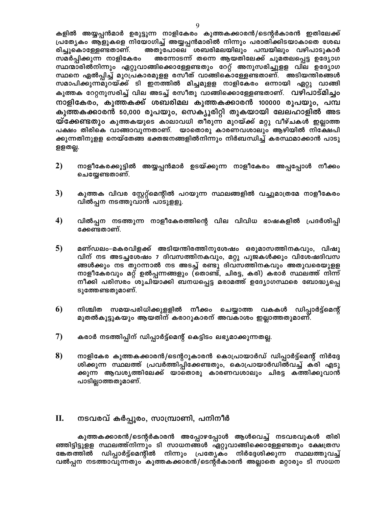കളിൽ അയ്യപ്പൻമാർ ഉരുട്ടുന്ന നാളികേരം കുത്തകക്കാരൻ/ടെന്റർകാരൻ ഇതിലേക്ക് പ്രത്യേകം ആളുകളെ നിയോഗിച്ച് അയ്യപ്പൻമാരിൽ നിന്നും പരാതിക്കിടയാകാതെ ശേഖ അതുപോലെ ശബരിമലയിലും പമ്പയിലും വഴിപാടുകാർ രിച്ചുകൊള്ളേണ്ടതാണ്. സമർപ്പിക്കുന്ന നാളികേരം അന്നോടന്ന് തന്നെ ആയതിലേക്ക് ചുമതലപ്പെട്ട ഉദ്യോഗ സ്ഥന്മാരിൽനിന്നും ഏറ്റുവാങ്ങിക്കൊള്ളേണ്ടതും റേറ്റ് അനുസരിച്ചുളള വില ഉദ്യോഗ സ്ഥനെ ഏൽപ്പിച്ച് മുറപ്രകാരമുളള രസീത് വാങ്ങികൊള്ളേണ്ടതാണ്. അടിയന്തിരങ്ങൾ സമാപിക്കുന്നമുറയ്ക്ക് ടി ഇനത്തിൽ മിച്ചമുളള നാളികേരം ഒന്നായി ഏറ്റു വാങ്ങി കുത്തക റേറ്റനുസരിച്ച് വില അടച്ച് രസീതു വാങ്ങിക്കൊള്ളേണ്ടതാണ്. വഴിപാട്മിച്ചം നാളികേരം, കുത്തകക്ക് ശബരിമല കുത്തകക്കാരൻ 100000 രൂപയും, പമ്പ കുത്തകക്കാരൻ 50,000 രൂപയും, സെക്യൂരിറ്റി തുകയായി ലേലഹാളിൽ അട യ്ക്കേണ്ടതും കുത്തകയുടെ കാലാവധി തീരുന്ന മുറയ്ക്ക് മറ്റു വീഴ്ചകൾ ഇല്ലാത്ത പക്ഷം തിരികെ വാങ്ങാവുന്നതാണ്. യാതൊരു കാരണവശാലും ആഴിയിൽ നിക്ഷേപി ക്കുന്നതിനുളള നെയ്തേങ്ങ ഭക്തജനങ്ങളിൽനിന്നും നിർബന്ധിച്ച് കരസ്ഥമാക്കാൻ പാടു ളളതല്ല.

- 2) നാളീകേരക്കൂട്ടിൽ അയ്യപ്പൻമാർ ഉടയ്ക്കുന്ന നാളീകേരം അപ്പപ്പോൾ നീക്കം ചെയ്യേണ്ടതാണ്.
- $3)$ കുത്തക വിവര സ്റ്റേറ്റ്മെന്റിൽ പറയുന്ന സ്ഥലങ്ങളിൽ വച്ചുമാത്രമേ നാളീകേരം വിൽപ്പന നടത്തുവാൻ പാടുളളൂ.
- 4) വിൽപ്പന നടത്തുന്ന നാളീകേരത്തിന്റെ വില വിവിധ ഭാഷകളിൽ പ്രദർശിപ്പി ക്കേണ്ടതാണ്.
- $5)$ മണ്ഡലം-മകരവിളക്ക് അടിയന്തിരത്തിനുശേഷം ഒരുമാസത്തിനകവും, വിഷു വിന് നട അടച്ചശേഷം 7 ദിവസത്തിനകവും, മറ്റു പൂജകൾക്കും വിശേഷദിവസ ങ്ങൾക്കും നട തുറന്നാൽ നട അടച്ച് രണ്ടു ദിവസത്തിനകവും അതുവരെയുളള നാളീകേരവും മറ്റ് ഉൽപ്പന്നങ്ങളും (തൊണ്ട്, ചിരട്ട, കരി) കരാർ സ്ഥലത്ത് നിന്ന് നീക്കി പരിസരം ശുചിയാക്കി ബനധപ്പെട്ട മരാമത്ത് ഉദ്യോഗസ്ഥരെ ബോദ്ധ്യപ്പെ ടുത്തേണ്ടതുമാണ്.
- 6 നിശ്ചിത സമയപരിധിക്കുളളിൽ നീക്കം ചെയ്യാത്ത വകകൾ ഡിപ്പാർട്ട്മെന്റ് മുതൽകൂട്ടുകയും ആയതിന് കരാറുകാരന് അവകാശം ഇല്ലാത്തതുമാണ്.
- 7) കരാർ നടത്തിപ്പിന് ഡിപ്പാർട്ട്മെന്റ് കെട്ടിടം ലഭ്യമാക്കുന്നതല്ല.
- 8) നാളികേര കുത്തകക്കാരൻ/ടെന്ററുകാരൻ കൊപ്രായാർഡ് ഡിപ്പാർട്ട്മെന്റ് നിർദ്ദേ ശിക്കുന്ന സ്ഥലത്ത് പ്രവർത്തിപ്പിക്കേണ്ടതും, കൊപ്രായാർഡിൽവച്ച് കരി എടു ക്കുന്ന ആവശൃത്തിലേക്ക് യാതൊരു കാരണവശാലും ചിരട്ട കത്തിക്കുവാൻ പാടില്ലാത്തതുമാണ്.

#### П. നടവരവ് കർപ്പൂരം, സാമ്പ്രാണി, പനിനീർ

കുത്തകക്കാരൻ/ടെന്റർകാരൻ അപ്പോഴപ്പോൾ ആൾവെച്ച് നടവരവുകൾ തിരി ഞ്ഞിട്ടിട്ടുളള സ്ഥലത്ത്നിന്നും ടി സാധനങ്ങൾ ഏറ്റുവാങ്ങിക്കൊള്ളേണ്ടതും ക്ഷേത്രസ ങ്കേതത്തിൽ ഡിപ്പാർട്ട്മെന്റിൽ നിന്നും പ്രത്യേകം നിർദ്ദേശിക്കുന്ന സ്ഥലത്തുവച്ച് വൽപ്പന നടത്താവുന്നതും കുത്തകക്കാരൻ/ടെന്റർകാരൻ അല്ലാതെ മറ്റാരും ടി സാധന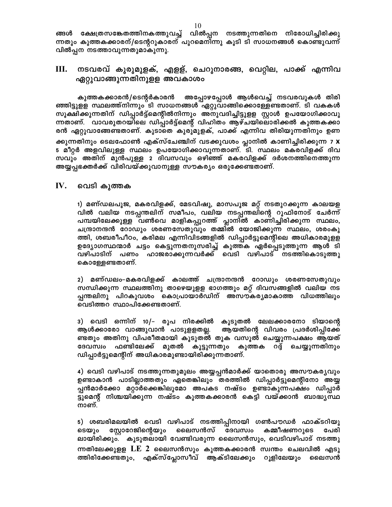ങ്ങൾ ക്ഷേത്രസങ്കേതത്തിനകത്തുവച്ച് വിൽപ്പന നടത്തുന്നതിനെ നിരോധിച്ചിരിക്കു ന്നതും കുത്തകക്കാരന്/ടെന്ററുകാരന് പുറമെനിന്നു കൂടി ടി സാധനങ്ങൾ കൊണ്ടുവന്ന് വിൽപ്പന നടത്താവുന്നതുമാകുന്നു.

#### III. നടവരവ് കുരുമുളക്, എളള്, ചെറുനാരങ്ങ, വെറ്റില, പാക്ക് എന്നിവ ഏറ്റുവാങ്ങുന്നതിനുളള അവകാശം

അപ്പോഴപ്പോൾ ആൾവെച്ച് നടവരവുകൾ തിരി കുത്തകക്കാരൻ/ടെന്റർകാരൻ ഞ്ഞിട്ടുളള സ്ഥലത്ത്നിന്നും ടി സാധനങ്ങൾ ഏറ്റുവാങ്ങിക്കൊള്ളേണ്ടതാണ്. ടി വകകൾ സൂക്ഷിക്കുന്നതിന് ഡിപ്പാർട്ട്മെന്റിൽനിന്നും അനുവദിച്ചിട്ടുളള സ്റ്റാൾ ഉപയോഗിക്കാവു ന്നതാണ്. വാവരുതറയിലെ ഡിപ്പാർട്ട്മെന്റ് വിഹിതം ആഴ്ചയിലൊരിക്കൽ കുത്തകക്കാ രൻ ഏറ്റുവാങ്ങേണ്ടതാണ്. കുടാതെ കുരുമുളക്, പാക്ക് എന്നിവ തിരിയുന്നതിനും ഉണ ക്കുന്നതിനും ടെലഫോൺ എക്സ്ചേഞ്ചിന് വടക്കുവശം പ്ലാനിൽ കാണിച്ചിരിക്കുന്ന 7 **x** 5 മീറ്റർ അളവിലുള്ള സ്ഥലം ഉപയോഗിക്കാവുന്നതാണ്. ടി. സ്ഥലം മകരവിളക്ക് ദിവ സവും അതിന് മുൻപുള്ള 2 ദിവസവും ഒഴിഞ്ഞ് മകരവിളക്ക് ദർശനത്തിനെത്തുന്ന അയ്യപ്പഭക്തർക്ക് വിരിവയ്ക്കുവാനുള്ള സൗകര്യം ഒരുക്കേണ്ടതാണ്.

#### $\mathbf{IV}$ . വെടി കുത്തക

1) മണ്ഡലപൂജ, മകരവിളക്ക്, മേടവിഷു, മാസപൂജ മറ്റ് നടതുറക്കുന്ന കാലയള വിൽ വലിയ നടപ്പന്തലിന് സമീപം, വലിയ നടപ്പന്തലിന്റെ റൂഫിനോട് ചേർന്ന് പമ്പയിലേക്കുള്ള വൺവെ മാളികപ്പുറത്ത് പ്ലാനിൽ കാണിച്ചിരിക്കുന്ന സ്ഥലം, ചന്ദ്രാനന്ദൻ റോഡും ശരണസേതുവും തമ്മിൽ യോജിക്കുന്ന സ്ഥലം, ശരംകു ത്തി, ശബരീപീഠം, കരിമല എന്നിവിടങ്ങളിൽ ഡിപ്പാർട്ടുമെന്റിലെ അധികാരമുളള ഉദ്യോഗസ്ഥന്മാർ ചട്ടം കെട്ടുന്നതനുസരിച്ച് കുത്തക ഏർപ്പെടുത്തുന്ന ആൾ ടി വഴിപാടിന് പണം ഹാജരാക്കുന്നവർക്ക് വെടി വഴിപാട് നടത്തികൊടുത്തു കൊള്ളേണ്ടതാണ്.

2) മണ്ഡലം–മകരവിളക്ക് കാലത്ത് ചന്ദ്രാനന്ദൻ റോഡും ശരണസേതുവും സന്ധിക്കുന്ന സ്ഥലത്തിനു താഴെയുളള ഭാഗത്തും മറ്റ് ദിവസങ്ങളിൽ വലിയ നട പ്പന്തലിനു പിറകുവശം കൊപ്രായാർഡിന് അസൗകര്യമാകാത്ത വിധത്തിലും വെടിത്തറ സ്ഥാപിക്കേണ്ടതാണ്.

3) വെടി ഒന്നിന് 10/– രൂപ നിരക്കിൽ കൂടുതൽ ലേലക്കാരനോ ടിയാന്റെ ആൾക്കാരോ വാങ്ങുവാൻ പാടുളളതല്ല. ആയതിന്റെ വിവരം പ്രദർശിപ്പിക്കേ ണ്ടതും അതിനു വിപരീതമായി കൂടുതൽ തുക വസൂൽ ചെയ്യുന്നപക്ഷം ആയത് ദേവസ്വം ഫണ്ടിലേക്ക് മുതൽ കൂട്ടുന്നതും കുത്തക റദ്ദ് ചെയ്യുന്നതിനും ഡിപ്പാർട്ടുമെന്റിന് അധികാരമുണ്ടായിരിക്കുന്നതാണ്.

4) വെടി വഴിപാട് നടത്തുന്നതുമൂലം അയ്യപ്പൻമാർക്ക് യാതൊരു അസൗകര്യവും ഉണ്ടാകാൻ പാടില്ലാത്തതും ഏതെങ്കിലും തരത്തിൽ ഡിപ്പാർട്ടുമെന്റിനോ അയ്യ പ്പൻമാർക്കോ മറ്റാർക്കെങ്കിലുമോ അപകട നഷ്ടം ഉണ്ടാകുന്നപക്ഷം ഡിപ്പാർ ട്ടുമെന്റ് നിശ്ചയിക്കുന്ന നഷ്ടം കുത്തകക്കാരൻ കെട്ടി വയ്ക്കാൻ ബാദ്ധ്യസ്ഥ നാണ്.

5) ശബരിമലയിൽ വെടി വഴിപാട് നടത്തിപ്പിനായി ഗൺപൗഡർ ഫാക്ടറിയു ടെയും സ്ലോറേജിന്റെയും ലൈസൻസ് കമ്മീഷണറുടെ ദേവസ്വം പേരി ലായിരിക്കും. കൂടുതലായി വേണ്ടിവരുന്ന ലൈസൻസും, വെടിവഴിപാട് നടത്തു ന്നതിലേക്കുളള LE 2 ലൈസൻസും കുത്തകക്കാരൻ സ്വന്തം ചെലവിൽ എടു ത്തിരിക്കേണ്ടതും, എക്സ്പ്ലോസീവ് ആക്ടിലേക്കും റൂളിലേയും ലൈസൻ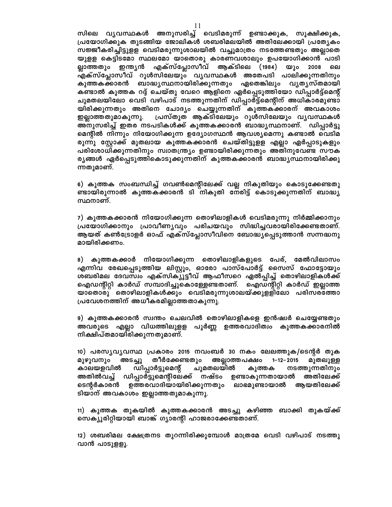സിലെ വൃവസ്ഥകൾ അനുസരിച്ച് വെടിമരുന്ന് ഉണ്ടാക്കുക, സൂക്ഷിക്കുക, പ്രയോഗിക്കുക തുടങ്ങിയ ജോലികൾ ശബരിമലയിൽ അതിലേക്കായി പ്രത്യേകം സജ്ജീകരിച്ചിട്ടുള്ള വെടിമരുന്നുശാലയിൽ വച്ചുമാത്രം നടത്തേണ്ടതും അല്ലാതെ യുളള കെട്ടിടമോ സ്ഥലമോ യാതൊരു കാരണവശാലും ഉപയോഗിക്കാൻ പാടി എക്സ്പ്ലോസീവ് ആക്ടിലെ (1984) യും 2008 ല്ലാത്തതും ഇന്ത്യൻ ലെ .<br>എക്സ്പ്ലോസീവ് റുൾസിലേയും വ്യവസ്ഥകൾ അതേപടി പാലിക്കുന്നതിനും കുത്തകക്കാരൻ ബാദ്ധ്യസ്ഥനായിരിക്കുന്നതും ഏതെങ്കിലും വ്യത്യസ്തമായി കണ്ടാൽ കുത്തക റദ്ദ് ചെയ്തു വേറെ ആളിനെ ഏർപ്പെടുത്തിയോ ഡിപ്പാർട്ട്മെന്റ് ചുമതലയിലോ വെടി വഴിപാട് നടത്തുന്നതിന് ഡിപ്പാർട്ട്മെന്റിന് അധികാരമുണ്ടാ യിരിക്കുന്നതും അതിനെ ചോദ്യം ചെയ്യുന്നതിന് കുത്തകക്കാരന് അവകാശം പ്രസ്തുത ആക്ടിലേയും റൂൾസിലേയും വൃവസ്ഥകൾ ഇല്ലാത്തതുമാകുന്നു. അനുസരിച്ച് ഇതര നടപടികൾക്ക് കുത്തകക്കാരൻ ബാദ്ധ്യസ്ഥനാണ്. ഡിപ്പാർട്ടു മെന്റിൽ നിന്നും നിയോഗിക്കുന്ന ഉദ്യോഗസ്ഥൻ ആവശ്യമെന്നു കണ്ടാൽ വെടിമ രുന്നു സ്റ്റോക്ക് മുതലായ കുത്തകക്കാരൻ ചെയ്തിട്ടുളള എല്ലാ ഏർപ്പാടുകളും പരിശോധിക്കുന്നതിനും സ്വാതന്ത്ര്യം ഉണ്ടായിരിക്കുന്നതും അതിനുവേണ്ട സൗക ര്യങ്ങൾ ഏർപ്പെടുത്തികൊടുക്കുന്നതിന് കുത്തകക്കാരൻ ബാദ്ധ്യസ്ഥനായിരിക്കു ന്നതുമാണ്.

6) കുത്തക സംബന്ധിച്ച് ഗവൺമെന്റിലേക്ക് വല്ല നികുതിയും കൊടുക്കേണ്ടതു ണ്ടായിരുന്നാൽ കുത്തകക്കാരൻ ടി നികുതി നേരിട്ട് കൊടുക്കുന്നതിന് ബാദ്ധ്യ സ്ഥനാണ്.

7) കുത്തകക്കാരൻ നിയോഗിക്കുന്ന തൊഴിലാളികൾ വെടിമരുന്നു നിർമ്മിക്കാനും പ്രയോഗിക്കാനും പ്രാവീണൃവും പരിചയവും സിദ്ധിച്ചവരായിരിക്കേണ്ടതാണ്. ആയത് കൺട്രോളർ ഓഫ് എക്സ്പ്ലോസീവിനെ ബോദ്ധ്യപ്പെടുത്താൻ സന്നദ്ധനു മായിരിക്കണം.

8) കുത്തകക്കാർ നിയോഗിക്കുന്ന തൊഴിലാളികളുടെ പേര്, മേൽവിലാസം എന്നിവ രേഖപ്പെടുത്തിയ ലിസ്റ്റും, ഓരോ പാസ്പോർട്ട് സൈസ് ഫോട്ടോയും ശബരിമല ദേവസ്വം എക്സിക്യൂട്ടീവ് ആഫീസറെ ഏൽപ്പിച്ച് തൊഴിലാളികൾക്ക് ഐഡന്റിറ്റി കാർഡ് സമ്പാദിച്ചുകൊള്ളേണ്ടതാണ്. ഐഡന്റിറ്റി കാർഡ് ഇല്ലാത്ത യാതൊരു തൊഴിലാളികൾക്കും വെടിമരുന്നുശാലയ്ക്കുള്ളിലോ പരിസര്ത്തോ പ്രവേശനത്തിന് അധീകരമില്ലാത്തതാകുന്നു.

9) കുത്തകക്കാരൻ സ്വന്തം ചെലവിൽ തൊഴിലാളികളെ ഇൻഷ്വർ ചെയ്യേണ്ടതും അവരുടെ എല്ലാ വിധത്തിലുളള പൂർണ്ണ ഉത്തരവാദിത്വം കുത്തകക്കാരനിൽ നിക്ഷിപ്തമായിരിക്കുന്നതുമാണ്.

10) പരസൃവൃവസ്ഥ പ്രകാരം 2015 നവംബർ 30 നകം ലേലത്തുക/ടെന്റർ തുക തീർക്കേണ്ടതും അല്ലാത്തപക്ഷം മുഴുവനും അടച്ചു 1-12-2015 മുതലുള്ള കാലയളവിൽ ഡിപ്പാർട്ടുമെന്റ് ചുമതലയിൽ കുത്തക നടത്തുന്നതിനും അതിൽവച്ച് ഡിപ്പാർട്ടുമെന്റിലേക്ക് നഷ്ടം ഉണ്ടാകുന്നതായാൽ അതിലേക്ക് ടെന്റർകാരൻ ഉത്തരവാദിയായിരിക്കുന്നതും ലാഭമുണ്ടായാൽ ആയതിലേക്ക് ടിയാന് അവകാശം ഇല്ലാത്തതുമാകുന്നു.

11) കുത്തക തുകയിൽ കുത്തകക്കാരൻ അടച്ചു കഴിഞ്ഞ ബാക്കി തുകയ്ക്ക് സെക്യൂരിറ്റിയായി ബാങ്ക് ഗ്യാരന്റി ഹാജരാക്കേണ്ടതാണ്.

12) ശബരിമല ക്ഷേത്രനട തുറന്നിരിക്കുമ്പോൾ മാത്രമേ വെടി വഴിപാട് നടത്തു വാൻ പാടുളളൂ.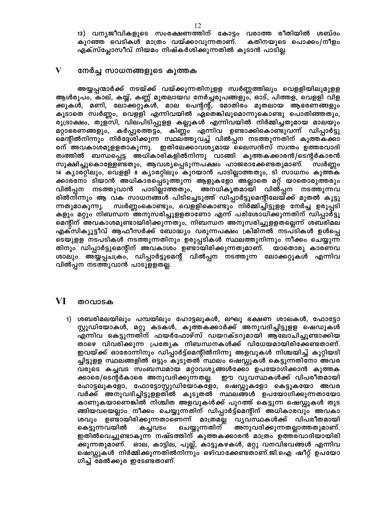13) വന്യജീവികളുടെ സംരക്ഷണത്തിന് കോട്ടം വരാത്ത രീതിയിൽ ശബ്ദം കുറഞ്ഞ വെടികൾ മാത്രം വയ്ക്കാവുന്നതാണ്. കതിനയുടെ പൊക്കം/നീളം എക്സ്പ്ലോസീവ് നിയമം നിഷ്കർശിക്കുന്നതിൽ കൂടാൻ പാടില്ല.

#### $\mathbf{V}$ നേർച്ച സാധനങ്ങളുടെ കുത്തക

അയ്യപ്പന്മാർക്ക് നടയ്ക്ക് വയ്ക്കുന്നതിനുളള സ്വർണ്ണത്തിലും വെളളിയിലുമുളള ആൾരൂപം, കാല്, കയ്യ്, കണ്ണ് മുതലായവ നേർച്ചരൂപങ്ങളും, ഓട്, പിത്തള, വെളളി വിള ക്കുകൾ, മണി, ലോക്കറ്റുകൾ, മാല പെന്റന്റ്, മോതിരം മുതലായ ആഭരണങ്ങളും കൂടാതെ സ്വർണ്ണം, വെളളി എന്നിവയിൽ ഏതെങ്കിലുമൊന്നുകൊണ്ടു പൊതിഞ്ഞതും, രുദ്രാക്ഷം, തുളസി, വിലപിടിപ്പുളള കല്ലുകൾ എന്നിവയിൽ നിർമ്മിച്ചതുമായ മാലയും മറ്റാഭരണങ്ങളും, കർപ്പൂരത്തട്ടം, കിണ്ണം എന്നിവ ഉണ്ടാക്കികൊണ്ടുവന്ന് ഡിപ്പാർട്ടു മെന്റിൽനിന്നും നിർദ്ദേശിക്കുന്ന സ്ഥലത്തുവച്ച് വിൽപ്പന നടത്തുന്നതിന് കുത്തകക്കാ രന് അവകാശമുളളതാകുന്നു. ഇതിലേക്കാവശ്യമായ ലൈസൻസ് സ്വന്തം ഉത്തരവാദി ത്വത്തിൽ ബന്ധപ്പെട്ട അധികാരികളിൽനിന്നു വാങ്ങി കുത്തകക്കാരൻ/ടെന്റർകാരൻ സൂക്ഷിച്ചുകൊള്ളേണ്ടതും, ആവശ്യപ്പെടുന്നപക്ഷം ഹാജരാക്കേണ്ടതുമാണ്. സ്വർണ്ണം 14 ക്യാരറ്റിലും, വെളളി 8 ക്യാരറ്റിലും കുറയാൻ പാടില്ലാത്തതും, ടി സാധനം കുത്തക ക്കാരനോ ടിയാൻ അധികാരപ്പെടുത്തുന്ന ആളുകളോ അല്ലാതെ മറ്റ് യാതൊരുത്തരും വിൽപ്പന നടത്തുവാൻ പാടില്ലാത്തതും, അനധികൃതമായി വിൽപ്പന നടത്തുന്നവ രിൽനിന്നും ആ വക സാധനങ്ങൾ പിടിച്ചെടുത്ത് ഡിപ്പാർട്ടുമെന്റിലേയ്ക്ക് മുതൽ കൂട്ടു സ്വർണ്ണംകൊണ്ടും, വെളളികൊണ്ടും നിർമ്മിച്ചിട്ടുളള നേർച്ച ഉരുപ്പടി ന്നതുമാകുന്നു. കളും മറ്റും നിബന്ധന അനുസരിച്ചുളളതാണോ എന്ന് പരിശോധിക്കുന്നതിന് ഡിപ്പാർട്ടു മെന്റിന് അവകാശമുണ്ടായിരിക്കുന്നതും, നിബന്ധന അനുസരിച്ചുളളതല്ലെന്ന് ശബരിമല എക്സിക്യൂട്ടീവ് ആഫീസർക്ക് ബോദ്ധ്യം വരുന്നപക്ഷം ക്രിമിനൽ നടപടികൾ ഉൾപ്പെ ടെയുളള നടപടികൾ നടത്തുന്നതിനും ഉരുപ്പടികൾ സ്ഥലത്തുനിന്നും നീക്കം ചെയ്യുന്ന തിനും ഡിപ്പാർട്ടുമെന്റിന് അവകാശം ഉണ്ടായിരിക്കുന്നതുമാണ്. യാതൊരു കാരണവ ശാലും അയ്യപ്പചക്രം, ഡിപ്പാർട്ടുമെന്റ് വിൽപ്പന നടത്തുന്ന ലോക്കറ്റുകൾ എന്നിവ വിൽപ്പന നടത്തുവാൻ പാടുളളതല്ല.

#### VI തറവാടക

1) ശബരിമലയിലും പമ്പയിലും ഹോട്ടലുകൾ, ലഘു ഭക്ഷണ ശാലകൾ, ഫോട്ടോ സ്റ്റുഡിയോകൾ, മറ്റു കടകൾ, കുത്തകക്കാർക്ക് അനുവദിച്ചിട്ടുളള ഷെഡുകൾ എന്നിവ കെട്ടുന്നതിന് ഫയർഫോഴ്സ് ഡയറക്ടറുമായി ആലോചിച്ചുണ്ടാക്കിയ താഴെ വിവരിക്കുന്ന പ്രത്യേക നിബന്ധനകൾക്ക് വിധേയമായിരിക്കേണ്ടതാണ്. ഇവയ്ക്ക് ഓരോന്നിനും ഡിപ്പാർട്ട്മെന്റിൽനിന്നു അളവുകൾ നിശ്ചയിച്ച് കുറ്റിയടി ച്ചിട്ടുളള സ്ഥലങ്ങളിൽ ഒട്ടും കൂടുതൽ സ്ഥലം ഷെഡ്ഡുകൾ കെട്ടുന്നതിനോ അവര വരുടെ കച്ചവട സംബന്ധമായ മറ്റാവശ്യങ്ങൾക്കോ ഉപയോഗിക്കാൻ കുത്തക ക്കാരെ/ടെന്റർകാരെ അനുവദിക്കുന്നതല്ല. ഈ വൃവസ്ഥകൾക്ക് വിപരീതമായി ഹോട്ടലുകളോ, ഫോട്ടോസ്റ്റുഡിയോകളോ, ഷെഡ്ഡുകളോ കെട്ടുകയോ അവര വർക്ക് അനുവദിച്ചിട്ടുളളതിൽ കൂടുതൽ സ്ഥലങ്ങൾ ഉപയോഗിക്കുന്നതായോ കാണുകയാണെങ്കിൽ നിശ്ചിത അളവുകൾക്ക് പുറത്ത് കെട്ടുന്ന ഷെഡ്ഡുകൾ തുട ങ്ങിയവയെല്ലാം നീക്കം ചെയ്യുന്നതിന് ഡിപ്പാർട്ട്മെന്റിന് അധികാരവും അവകാ ശവും ഉണ്ടായിരിക്കുന്നതാണെന്ന് മാത്രമല്ല വൃവസ്ഥകൾക്ക് വിപരീതമായി ചെയ്യുന്നതിന് അനുവദിക്കുന്നതല്ലാത്തതുമാണ്. കെട്ടുന്നവയിൽ കച്ചവടം ഇതിൽവെച്ചുണ്ടാകുന്ന നഷ്ടത്തിന് കുത്തകക്കാരൻ മാത്രം ഉത്തരവാദിയായിരി ക്കുന്നതുമാണ്. ഓല, കാട്ടില, പുല്ല്, കാട്ടുകഴകൾ, മറ്റു വനവിഭവങ്ങൾ എന്നിവ ഷെഡ്ഡുകൾ നിർമ്മിക്കുന്നതിൽനിന്നും ഒഴിവാക്കേണ്ടതാണ്.ജി.ഐ ഷീറ്റ് ഉപയോ ഗിച്ച് മേൽക്കൂര ഇടേണ്ടതാണ്.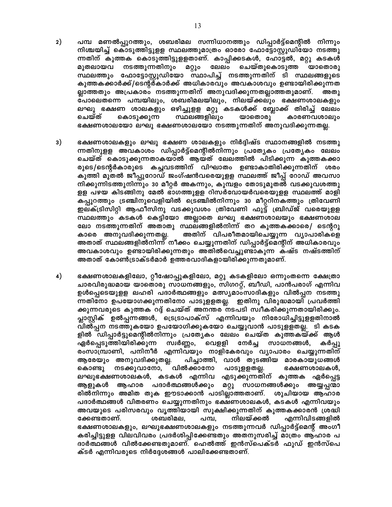- $2)$ പമ്പ മണൽപ്പുറത്തും, ശബരിമല സന്നിധാനത്തും ഡിപ്പാർട്ട്മെന്റിൽ നിന്നും നിശ്ചയിച്ച് കൊടുത്തിട്ടുളള സ്ഥലത്തുമാത്രം ഓരോ ഫോട്ടോസ്റ്റുഡിയോ നടത്തു ന്നതിന് കുത്തക കൊടുത്തിട്ടുളളതാണ്. കാപ്പിക്കടകൾ, ഹോട്ടൽ, മറ്റു കടകൾ നടത്തുന്നതിനും മറ്റും ലേലം ചെയ്തുകൊടുത്ത മുതലായവ യാതൊരു സ്ഥലത്തും ഫോട്ടോസ്റ്റുഡിയോ സ്ഥാപിച്ച് നടത്തുന്നതിന് ടി സ്ഥലങ്ങളുടെ കുത്തകക്കാർക്ക്/ടെന്റർകാർക്ക് അധികാരവും അവകാശവും ഉണ്ടായിരിക്കുന്നത ല്ലാത്തതും അപ്രകാരം നടത്തുന്നതിന് അനുവദിക്കുന്നതല്ലാത്തതുമാണ്. അതു പോലെതന്നെ പമ്പയിലും, ശബരിമലയിലും, നിലയ്ക്കലും ഭക്ഷണശാലകളും ലഘു ഭക്ഷണ ശാലകളും ഒഴിച്ചുളള മറ്റു കടകൾക്ക് ബ്ലോക്ക് തിരിച്ച് ലേലം ചെയ്ത് കൊടുക്കുന്ന സ്ഥലങ്ങളിലും യാതൊരു കാരണവശാലും ഭക്ഷണശാലയോ ലഘു ഭക്ഷണശാലയോ നടത്തുന്നതിന് അനുവദിക്കുന്നതല്ല.
- $3)$ ഭക്ഷണശാലകളും ലഘു ഭക്ഷണ ശാലകളും നിർദ്ദിഷ്ട സ്ഥാനങ്ങളിൽ നടത്തു ന്നതിനുളള അവകാശം ഡിപ്പാർട്ട്മെന്റിൽനിന്നും പ്രത്യേകം പ്രത്യേകം ലേലം ചെയ്ത് കൊടുക്കുന്നതാകയാൽ ആയത് ലേലത്തിൽ പിടിക്കുന്ന കുത്തകക്കാ രുടെ/ടെന്റർകാരുടെ കച്ചവടത്തിന് വിഘാതം ഉണ്ടാകാതിരിക്കുന്നതിന് ശരം കുത്തി മുതൽ ജീപ്പുറോഡ് ജംഗ്ഷൻവരെയുളള സ്ഥലത്ത് ജീപ്പ് റോഡ് അവസാ നിക്കുന്നിടത്തുനിന്നും 30 മീറ്റർ അകന്നും, കുമ്പളം തോടുമുതൽ വടക്കുവശത്തു ളള പഴയ കിടങ്ങിനു മേൽ ഭാഗത്തുളള റിസർവോയർവരെയുളള സ്ഥലത്ത് മാളി കപ്പുറത്തും ട്രഞ്ചിനുവെളിയിൽ ട്രെഞ്ചിൽനിന്നും 30 മീറ്ററിനകത്തും ത്രിവേണി ഇലക്ട്രിസിറ്റി ആഫീസിനു വടക്കുവശം ത്രിവേണി ഫുട്ട് ബ്രിഡ്ജ് വരെയുളള സ്ഥലത്തും കടകൾ കെട്ടിയോ അല്ലാതെ ലഘു ഭക്ഷണശാലയും ഭക്ഷണശാല ലോ നടത്തുന്നതിന് അതാതു സ്ഥലങ്ങളിൽനിന്ന് തറ കുത്തകക്കാരെ/ ടെന്ററു അതിന് വിപരീതമായിചെയ്യുന്ന വ്യാപാരികളെ കാരെ അനുവദിക്കുന്നതല്ല. അതാത് സ്ഥലങ്ങളിൽനിന്ന് നീക്കം ചെയ്യുന്നതിന് ഡിപ്പാർട്ട്മെന്റിന് അധികാരവും അവകാശവും ഉണ്ടായിരിക്കുന്നതും അതിൽവെച്ചുണ്ടാകുന്ന കഷ്ട നഷ്ടത്തിന് അതാത് കോൺട്രാക്ടർമാർ ഉത്തരവാദികളായിരിക്കുന്നതുമാണ്.
- $4)$ ഭക്ഷണശാലകളിലോ, റ്റീഷോപ്പുകളിലോ, മറ്റു കടകളിലോ ഒന്നുംതന്നെ ക്ഷേത്രാ ചാരവിരുദ്ധമായ യാതൊരു സാധനങ്ങളും, സിഗററ്റ്, ബീഡി, പാൻപരാഗ് എന്നിവ ഉൾപ്പെടെയുളള ലഹരി പദാർത്ഥങ്ങളും മത്സ്യമാംസാദികളും വിൽപ്പന നടത്തു ന്നതിനോ ഉപയോഗക്കുന്നതിനോ പാടുളളതല്ല. ഇതിനു വിരുദ്ധമായി പ്രവർത്തി ക്കുന്നവരുടെ കുത്തക റദ്ദ് ചെയ്ത് അനന്തര നടപടി സ്വീകരിക്കുന്നതായിരിക്കും. പ്ലാസ്റ്റിക് ഉൽപ്പന്നങ്ങൾ, ട്രെട്രാപാക്സ് എന്നിവയും നിരോധിച്ചിട്ടുളളതിനാൽ വിൽപ്പന നടത്തുകയോ ഉപയോഗിക്കുകയോ ചെയ്യുവാൻ പാടുളളതല്ല. ടി കടക ളിൽ ഡിപ്പാർട്ടുമെന്റിൽനിന്നും പ്രത്യേകം ലേലം ചെയ്ത കുത്തകയ്ക്ക് ആൾ സ്വർണ്ണം, വെളളി നേർച്ച സാധനങ്ങൾ, കർപ്പൂ ഏർപ്പെടുത്തിയിരിക്കുന്ന രംസാമ്പ്രാണി, പനിനീർ എന്നിവയും നാളികേരവും വ്യാപാരം ചെയ്യുന്നതിന് ആരേയും അനുവദിക്കുതല്ല. പിച്ചാത്തി, വാൾ തുടങ്ങിയ മാരകായുധങ്ങൾ കൊണ്ടു നടക്കുവാനോ, വിൽക്കാനോ പാടുളളതല്ല. ഭക്ഷണശാലകൾ, ലഘുഭക്ഷണശാലകൾ, കടകൾ എന്നിവ എടുക്കുന്നതിന് കുത്തക ഏർപ്പെട്ട ആളുകൾ ആഹാര പദാർത്ഥങ്ങൾക്കും മറ്റു സാധനങ്ങൾക്കും അയ്യപ്പന്മാ രിൽനിന്നും അമിത തുക ഈടാക്കാൻ പാടില്ലാത്തതാണ്. ശുചിയായ ആഹാര പദാർത്ഥങ്ങൾ വിതരണം ചെയ്യുന്നതിനും ഭക്ഷണശാലകൾ, കടകൾ എന്നിവയും അവയുടെ പരിസരവും വൃത്തിയായി സൂക്ഷിക്കുന്നതിന് കുത്തകക്കാരൻ ശ്രദ്ധി നിലയ്ക്കൽ ക്കേണ്ടതാണ്. ശബരിമല, പമ്പ, എന്നിവിടങ്ങളിൽ ഭക്ഷണശാലകളും, ലഘുഭക്ഷണശാലകളും നടത്തുന്നവർ ഡിപ്പാർട്ട്മെന്റ് അംഗീ കരിച്ചിട്ടുളള വിലവിവരം പ്രദർശിപ്പിക്കേണ്ടതും അതനുസരിച്ച് മാത്രം ആഹാര പ ദാർത്ഥങ്ങൾ വിൽക്കേണ്ടതുമാണ്. ഹെൽത്ത് ഇൻസ്പെക്ടർ ഫുഡ് ഇൻസ്പെ ക്ടർ എന്നിവരുടെ നിർദ്ദേശങ്ങൾ പാലിക്കേണ്ടതാണ്.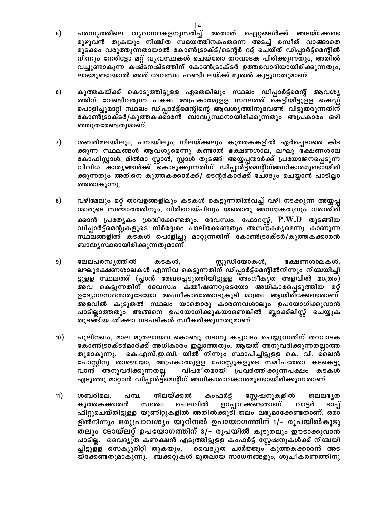- $5)$ പരസൃത്തിലെ വൃവസ്ഥകളനുസരിച്ച് അതാത് ഐറ്റങ്ങൾക്ക് അടയ്ക്കേണ്ട മുഴുവൻ തുകയും നിശ്ചിത സമയത്തിനകംതന്നെ അടച്ച് രസീത് വാങ്ങാതെ മുടക്കം വരുത്തുന്നതായാൽ കോൺട്രാക്ട്/ടെന്റർ റദ്ദ് ചെയ്ത് ഡിപ്പാർട്ട്മെന്റിൽ നിന്നും നേരിട്ടോ മറ്റ് വൃവസ്ഥകൾ ചെയ്തോ തറവാടക പിരിക്കുന്നതും, അതിൽ വച്ചുണ്ടാകുന്ന കഷ്ടനഷ്ടത്തിന് കോൺട്രാക്ടർ ഉത്തരവാദിയായിരിക്കുന്നതും, ലാഭമുണ്ടായാൽ അത് ദേവസ്വം ഫണ്ടിലേയ്ക്ക് മുതൽ കൂട്ടുന്നതുമാണ്.
- കുത്തകയ്ക്ക് കൊടുത്തിട്ടുളള ഏതെങ്കിലും സ്ഥലം ഡിപ്പാർട്ട്മെന്റ് ആവശ്യ  $6)$ ത്തിന് വേണ്ടിവരുന്ന പക്ഷം അപ്രകാരമുളള സ്ഥലത്ത് കെട്ടിയിട്ടുളള ഷെഡ്ഡ് പൊളിച്ചുമാറ്റി സ്ഥലം ഡിപ്പാർട്ട്മെന്റിന്റെ ആവശ്യത്തിനുവേണ്ടി വിട്ടുതരുന്നതിന് കോൺട്രാക്ടർ/കുത്തകക്കാരൻ ബാദ്ധ്യസ്ഥനായിരിക്കുന്നതും അപ്രകാരം ഒഴി ഞ്ഞുതരേണ്ടതുമാണ്.
- $7)$ ശബരിമലയിലും, പമ്പയിലും, നിലയ്ക്കലും കുത്തകകളിൽ ഏർപ്പെടാതെ കിട ക്കുന്ന സ്ഥലങ്ങൾ ആവശ്യമെന്നു കണ്ടാൽ ഭക്ഷണശാല, ലഘു ഭക്ഷണശാല കോഫിസ്റ്റാൾ, മിൽമാ സ്റ്റാൾ, സ്റ്റാൾ തുടങ്ങി അയ്യപ്പന്മാർക്ക് പ്രയോജനപ്പെടുന്ന വിവിധ കാര്യങ്ങൾക്ക് കൊടുക്കുന്നതിന് ഡിപ്പാർട്ട്മെന്റിന്അധികാരമുണ്ടായിരി ക്കുന്നതും അതിനെ കുത്തകക്കാർക്ക്/ ടെന്റർകാർക്ക് ചോദ്യം ചെയ്യാൻ പാടില്ലാ ത്തതാകുന്നു.
- 8) വഴിമേലും മറ്റ് താവളങ്ങളിലും കടകൾ കെട്ടുന്നതിൽവച്ച് വഴി നടക്കുന്ന അയ്യപ്പ ന്മാരുടെ സഞ്ചാരത്തിനും, വിരിവെയ്പിനും യതൊരു അസൗകര്യവും വരാതിരി ക്കാൻ പ്രത്യേകം ശ്രദ്ധിക്കേണ്ടതും, ദേവസ്വം, ഫോറസ്റ്റ്,  $\mathbf{P. W. D}$  തുടങ്ങിയ ഡിപ്പാർട്ട്മെന്റുകളുടെ നിർദ്ദേശം പാലിക്കേണ്ടതും അസൗകര്യമെന്നു കാണുന്ന സ്ഥലങ്ങളിൽ കടകൾ പൊളിച്ചു മാറ്റുന്നതിന് കോൺട്രാക്ടർ/കുത്തകക്കാരൻ ബാദ്ധ്യസ്ഥരായിരിക്കുന്നതുമാണ്.
- സ്റ്റുഡിയോകൾ, 9) ലേലപരസ്യത്തിൽ കടകൾ, ഭക്ഷണശാലകൾ, ലഘുഭക്ഷണശാലകൾ എന്നിവ കെട്ടുന്നതിന് ഡിപ്പാർട്ട്മെന്റിൽനിന്നും നിശ്ചയിച്ചി ട്ടുളള സ്ഥലത്ത് (പ്ലാൻ രേഖപ്പെടുത്തിയിട്ടുളള അംഗീകൃത അളവിൽ മാത്രം) അവ കെട്ടുന്നതിന് ദേവസ്വം കമ്മീഷണറുടെയോ അധികാരപ്പെടുത്തിയ മറ്റ് ഉദ്യോഗസ്ഥന്മാരുടേയോ അംഗീകാരത്തോടുകൂടി മാത്രം ആയിരിക്കേണ്ടതാണ്. അളവിൽ കൂടുതൽ സ്ഥലം യാതൊരു കാരണവശാലും ഉപയോഗിക്കുവാൻ പാടില്ലാത്തതും അങ്ങനെ ഉപയോഗിക്കുകയാണെങ്കിൽ ബ്ലാക്ക്ലിസ്റ്റ് ചെയ്യുക തുടങ്ങിയ ശിക്ഷാ നടപടികൾ സ്വീകരിക്കുന്നതുമാണ്.
- 10) പുലിനഖം, മാല മുതലായവ കൊണ്ടു നടന്നു കച്ചവടം ചെയ്യുന്നതിന് തറവാടക കോൺട്രാക്ടർമാർക്ക് അധികാരം ഇല്ലാത്തതും, ആയത് അനുവദിക്കുന്നതല്ലാത്ത കെ.എസ്.ഇ.ബി. യിൽ നിന്നും സ്ഥാപിച്ചിട്ടുളള കെ. വി. ലൈൻ തുമാകുന്നു. പോസ്റ്റിനു താഴെയോ, അപ്രകാരമുളള പോസ്റ്റുകളുടെ സമീപത്തോ കടകെട്ടു വിപരീതമായി പ്രവർത്തിക്കുന്നപക്ഷം കടകൾ വാൻ അനുവദിക്കുന്നതല്ല. എടുത്തു മാറ്റാൻ ഡിപ്പാർട്ട്മെന്റിന് അധികാരാവകാശമുണ്ടായിരിക്കുന്നതാണ്.
- $11)$ ശബരിമല, പമ്പ, നിലയ്ക്കൽ കംഫർട്ട് സ്റ്റേഷനുകളിൽ ജലലഭ്യത കുത്തകക്കാരൻ സ്വന്തം ചെലവിൽ ഉറപ്പാക്കേണ്ടതാണ്. വാട്ടർ ടാപ്പ് ഫിറ്റുചെയ്തിട്ടുള്ള യൂണിറ്റുകളിൽ അതിൽക്കൂടി ജലം ലഭ്യമാക്കേണ്ടതാണ്. ഒരാ ളിൽനിന്നും ഒരുപ്രാവശ്യം യൂറിനൽ ഉപയോഗത്തിന് 1/– രൂപയിൽകൂടു തലും ടോയ്ലറ്റ് ഉപയോഗത്തിന് 3/– രൂപയിൽ കൂടുതലും ഈടാക്കുവാൻ പാടില്ല. വൈദ്യുത കണക്ഷൻ എടുത്തിട്ടുളള കംഫർട്ട് സ്റ്റേഷനുകൾക്ക് നിശ്ചയി വൈദ്യുത ചാർജ്ജും കുത്തകക്കാരൻ അട ച്ചിട്ടുളള സെക്യൂരിറ്റി തുകയും, യ്ക്കേണ്ടതുമാകുന്നു. ബക്കറ്റുകൾ മുതലായ സാധനങ്ങളും, ശുചീകരണത്തിനു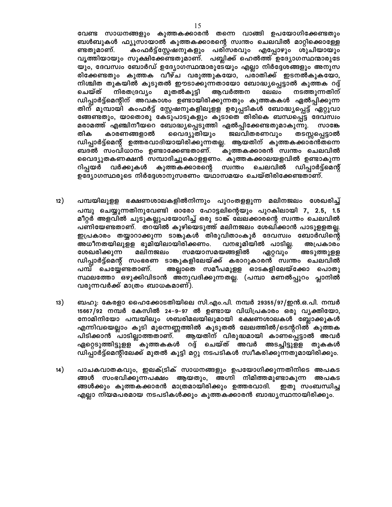വേണ്ട സാധനങ്ങളും കുത്തകക്കാരൻ തന്നെ വാങ്ങി ഉപയോഗിക്കേണ്ടതും ബൾബുകൾ ഫ്യൂസായാൽ കുത്തകക്കാരന്റെ സ്വന്തം ചെലവിൽ മാറ്റിക്കൊള്ളേ കംഫർട്ട്സ്റ്റേഷനുകളും പരിസരവും എപ്പോഴും ശുചിയായും ണ്ടതുമാണ്. വ്യത്തിയായും സൂക്ഷിക്കേണ്ടതുമാണ്. പബ്ലിക്ക് ഹെൽത്ത് ഉദ്യോഗസ്ഥന്മാരുടേ യും, ദേവസ്വം ബോർഡ് ഉദ്യോഗസ്ഥന്മാരുടേയും എല്ലാ നിർദ്ദേശങ്ങളും അനുസ രിക്കേണ്ടതും കുത്തക വീഴ്ച വരുത്തുകയോ, പരാതിക്ക് ഇടനൽകുകയോ, നിശ്ചിത തുകയിൽ കൂടുതൽ ഈടാക്കുന്നതായോ ബോദ്ധ്യപ്പെട്ടാൽ കുത്തക റദ്ദ് മുതൽകൂട്ടി ചെയ്ത് നിരതദ്രവ്യം ആവർത്തന ലേലം നടത്തുന്നതിന് ഡിപ്പാർട്ട്മെന്റിന് അവകാശം ഉണ്ടായിരിക്കുന്നതും കുത്തകകൾ ഏൽപ്പിക്കുന്ന തിന് മുമ്പായി കംഫർട്ട് സ്റ്റേഷനുകളിലുളള ഉരുപ്പടികൾ ബോദ്ധ്യപ്പെട്ട് ഏറ്റുവാ ങ്ങേണ്ടതും, യാതൊരു കേടുപാടുകളും കൂടാതെ തിരികെ ബന്ധപ്പെട്ട ദേവസ്വം മരാമത്ത് എഞ്ചിനീയറെ ബോദ്ധ്യപ്പെടുത്തി ഏൽപ്പിക്കേണ്ടതുമാകുന്നു. സാങ്കേ തിക കാരണങ്ങളാൽ വൈദ്യുതിയും ജലവിതരണവും തടസ്സപ്പെട്ടാൽ ഡിപ്പാർട്ട്മെന്റ് ഉത്തരവാദിയായിരിക്കുന്നതല്ല. ആയതിന് കുത്തകക്കാര്ൻതന്നെ ബദൽ സംവിധാനം ഉണ്ടാക്കേണ്ടതാണ്. കുത്തകക്കാരൻ സ്വന്തം ചെലവിൽ വൈദ്യുതകണക്ഷൻ സമ്പാദിച്ചുകൊളളണം. കുത്തകക്കാലയളവിൽ ഉണ്ടാകുന്ന റിപ്പയർ വർക്കുകൾ കുത്തകക്കാരന്റെ സ്വന്തം ചെലവിൽ ഡിപ്പാർട്ട്മെന്റ് ഉദ്യോഗസ്ഥരുടെ നിർദ്ദേശാനുസരണം യഥാസമയം ചെയ്തിരിക്കേണ്ടതാണ്.

- $12)$ പമ്പയിലുളള ഭക്ഷണശാലകളിൽനിന്നും പുറംതളളുന്ന മലിനജലം ശേഖരിച്ച് പമ്പു ചെയ്യുന്നതിനുവേണ്ടി ഓരോ ഹോട്ടലിന്റെയും പുറകിലായി 7, 2.5, 1.5 മീറ്റർ അളവിൽ ചുടുകല്ലുപയോഗിച്ച് ഒരു ടാങ്ക് ലേലക്കാരന്റെ സ്വന്തം ചെലവിൽ പണിയേണ്ടതാണ്. തറയിൽ കുഴിയെടുത്ത് മലിനജലം ശേഖിക്കാൻ പാടുളളതല്ല. ഇപ്രകാരം തയ്യാറാക്കുന്ന ടാങ്കുകൾ തിരുവിതാംകൂർ ദേവസ്വം ബോർഡിന്റെ അധീനതയിലുളള ഭൂമിയിലായിരിക്കണം. വനഭൂമിയിൽ പാടില്ല. അപ്രകാരം ശേഖരിക്കുന്ന മലിനജലം സമയാസമയങ്ങളിൽ ഏറ്റവും അടുത്തുളള ഡിപ്പാർട്ട്മെന്റ് സംഭരണ ടാങ്കുകളിലേയ്ക്ക് കരാറുകാരൻ സ്വന്തം ചെലവിൽ പമ്പ് ചെയ്യേണ്ടതാണ്. അല്ലാതെ സമീപമുളള ഓടകളിലേയ്ക്കോ പൊതു സ്ഥലത്തോ ഒഴുക്കിവിടാൻ അനുവദിക്കുന്നതല്ല. (പമ്പാ മണൽപ്പുറം പ്ലാനിൽ വരുന്നവർക്ക് മാത്രം ബാധകമാണ്).
- $13)$ ബഹു: കേരളാ ഹൈക്കോടതിയിലെ സി.എം.പി. നമ്പർ 29355/97/ഇൻ.ഒ.പി. നമ്പർ 15667/92 നമ്പർ കേസിൽ 24–9–97 ൽ ഉണ്ടായ വിധിപ്രകാരം ഒരു വൃക്തിയോ, നോമിനിയോ പമ്പയിലും ശബരിമലയിലുമായി ഭക്ഷണശാലകൾ ബ്ലോക്കുകൾ എന്നിവയെല്ലാം കൂടി മൂന്നെണ്ണത്തിൽ കൂടുതൽ ലേലത്തിൽ/ടെന്ററിൽ കുത്തക ആയതിന് വിരുദ്ധമായി കാണപ്പെട്ടാൽ അവർ പിടിക്കാൻ പാടില്ലാത്തതാണ്. ഏറ്റെടുത്തിട്ടുളള കുത്തകകൾ റദ്ദ് ചെയ്ത് അവർ അടച്ചിട്ടുളള തുകകൾ ഡിപ്പാർട്ട്മെന്റിലേക്ക് മുതൽ കൂട്ടി മറ്റു നടപടികൾ സ്വീകരിക്കുന്നതുമായിരിക്കും.
- $(14)$ പാചകവാതകവും, ഇലക്ട്രിക് സാധനങ്ങളും ഉപയോഗിക്കുന്നതിനിടെ അപകട ങ്ങൾ സംഭവിക്കുന്നപക്ഷം ആയതും, അഗ്നി നിമിത്തമുണ്ടാകുന്ന അപകട ങ്ങൾക്കും കുത്തകക്കാരൻ മാത്രമായിരിക്കും ഉത്തരവാദി. ഇതു സംബന്ധിച്ച എല്ലാ നിയമപരമായ നടപടികൾക്കും കുത്തകക്കാരൻ ബാദ്ധ്യസ്ഥനായിരിക്കും.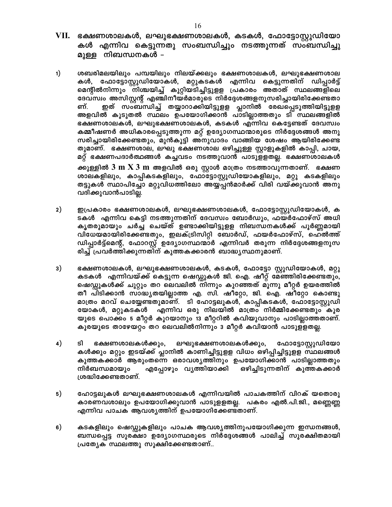- VII. ഭക്ഷണശാലകൾ, ലഘുഭക്ഷണശാലകൾ, കടകൾ, ഫോട്ടോസ്റ്റുഡിയോ കൾ എന്നിവ കെട്ടുന്നതു സംബന്ധിച്ചും നടത്തുന്നത് സംബന്ധിച്ചു മുള്ള നിബന്ധനകൾ –
- $1)$ ശബരിമലയിലും പമ്പയിലും നിലയ്ക്കലും ഭക്ഷണശാലകൾ, ലഘുഭക്ഷണശാല കൾ, ഫോട്ടോസ്റ്റുഡിയോകൾ, മറ്റുകടകൾ എന്നിവ കെട്ടുന്നതിന് ഡിപ്പാർട്ട് മെന്റിൽനിന്നും നിശ്ചയിച്ച് കുറ്റിയടിച്ചിട്ടുളള പ്രകാരം അതാത് സ്ഥലങ്ങളിലെ ദേവസ്വം അസിസ്റ്റന്റ് എഞ്ചിനീയർമാരുടെ നിർദ്ദേശങ്ങളനുസരിച്ചായിരിക്കേണ്ടതാ ഇത് സംബന്ധിച്ച് തയ്യാറാക്കിയിട്ടുളള പ്ലാനിൽ രേഖപ്പെടുത്തിയിട്ടുളള ണ്. അളവിൽ കൂടുതൽ സ്ഥലം ഉപയോഗിക്കാൻ പാടില്ലാത്തതും ടി സ്ഥലങ്ങളിൽ ഭക്ഷണശാലകൾ, ലഘുഭക്ഷണശാലകൾ, കടകൾ എന്നിവ കെട്ടേണ്ടത് ദേവസ്വം കമ്മീഷണർ അധികാരപ്പെടുത്തുന്ന മറ്റ് ഉദ്യോഗസ്ഥന്മാരുടെ നിർദ്ദേശങ്ങൾ അനു സരിച്ചായിരിക്കേണ്ടതും, മുൻകൂട്ടി അനുവാദം വാങ്ങിയ ശേഷം ആയിരിക്കേണ്ട തുമാണ്. ഭക്ഷണശാല, ലഘു ഭക്ഷണശാല ഒഴിച്ചുള്ള സ്റ്റാളുകളിൽ കാപ്പി, ചായ, മറ്റ് ഭക്ഷണപദാർത്ഥങ്ങൾ കച്ചവടം നടത്തുവാൻ പാടുളളതല്ല. ഭക്ഷണശാലകൾ ക്കുള്ളിൽ  $3\,$  m  $\rm X\,3\,m$  അളവിൽ ഒരു സ്റ്റാൾ മാത്രം നടത്താവുന്നതാണ്.  $\,$  ഭക്ഷണ ശാലകളിലും, കാപ്പികടകളിലും, ഫോട്ടോസ്റ്റുഡിയോകളിലും, മറ്റു കടകളിലും തട്ടുകൾ സ്ഥാപിച്ചോ മറ്റുവിധത്തിലോ അയ്യപ്പൻമാർക്ക് വിരി വയ്ക്കുവാൻ അനു വദിക്കുവാൻപാടില്ല.
- $2)$ ഇപ്രകാരം ഭക്ഷണശാലകൾ, ലഘുഭക്ഷണശാലകൾ, ഫോട്ടോസ്റ്റുഡിയോകൾ, ക ടകൾ എന്നിവ കെട്ടി നടത്തുന്നതിന് ദേവസ്വം ബോർഡും, ഫയർഫോഴ്സ് അധി കൃതരുമായും ചർച്ച ചെയ്ത് ഉണ്ടാക്കിയിട്ടുളള നിബന്ധനകൾക്ക് പൂർണ്ണമായി വിധേയമായിരിക്കേണ്ടതും, ഇലക്ട്രിസിറ്റി ബോർഡ്, ഫയർഫോഴ്സ്, ഹെൽത്ത് ഡിപ്പാർട്ട്മെന്റ്, ഫോറസ്റ്റ് ഉദ്യോഗസ്ഥന്മാർ എന്നിവർ തരുന്ന നിർദ്ദേശങ്ങളനുസ രിച്ച് പ്രവർത്തിക്കുന്നതിന് കുത്തകക്കാരൻ ബാദ്ധ്യസ്ഥനുമാണ്.
- $3)$ ഭക്ഷണശാലകൾ, ലഘുഭക്ഷണശാലകൾ, കടകൾ, ഫോട്ടോ സ്റ്റുഡിയോകൾ, മറ്റു കടകൾ എന്നിവയ്ക്ക് കെട്ടുന്ന ഷെഡ്ഡുകൾ ജി. ഐ. ഷീറ്റ് മേഞ്ഞിരിക്കേണ്ടതും, ഷെഡ്ഡുകൾക്ക് ചുറ്റും തറ ലെവലിൽ നിന്നും കുറഞ്ഞത് മൂന്നു മീറ്റർ ഉയരത്തിൽ തീ പിടിക്കാൻ സാദ്ധ്യതയില്ലാത്ത എ. സി. ഷീറ്റോ, ജി. ഐ. ഷീറ്റോ കൊണ്ടു മാത്രം മറവ് ചെയ്യേണ്ടതുമാണ്. ടി ഹോട്ടലുകൾ, കാപ്പികടകൾ, ഫോട്ടോസ്റ്റുഡി യോകൾ, മറ്റുകടകൾ എന്നിവ ഒരു നിലയിൽ മാത്രം നിർമ്മിക്കേണ്ടതും കൂര യുടെ പൊക്കം 5 മീറ്റർ കൂറയാനും 13 മീറ്ററിൽ കവിയുവാനും പാടില്ലാത്തതാണ്. കൂരയുടെ താഴേയറ്റം തറ ലെവലിൽനിന്നും 3 മീറ്റർ കവിയാൻ പാടുള്ളതല്ല.
- 4) sî ഭക്ഷണശാലകൾക്കും, ലഘുഭക്ഷണശാലകൾക്കും, ഫോട്ടോസ്റ്റുഡിയോ കൾക്കും മറ്റും ഇടയ്ക്ക് പ്ലാനിൽ കാണിച്ചിട്ടുളള വിധം ഒഴിപ്പിച്ചിട്ടുളള സ്ഥലങ്ങൾ കുത്തകക്കാർ ആരുംതന്നെ ഒരാവശ്യത്തിനും ഉപയോഗിക്കാൻ പാടില്ലാത്തതും നിർബന്ധമായും എപ്പോഴും വൃത്തിയാക്കി ഒഴിച്ചിടുന്നതിന് കുത്തകക്കാർ ശ്രദ്ധിക്കേണ്ടതാണ്.
- $5)$ ഹോട്ടലുകൾ ലഘുഭക്ഷണശാലകൾ എന്നിവയിൽ പാചകത്തിന് വിറക് യതൊരു കാരണവശാലും ഉപയോഗിക്കുവാൻ പാടുളളതല്ല. പകരം എൽ.പി.ജി., മണ്ണെണ്ണ എന്നിവ പാചക ആവശ്യത്തിന് ഉപയോഗിക്കേണ്ടതാണ്.
- 6) കടകളിലും ഷെഡ്ഡുകളിലും പാചക ആവശ്യത്തിനുപയോഗിക്കുന്ന ഇന്ധനങ്ങൾ, ബന്ധപ്പെട്ട സുരക്ഷാ ഉദ്യോഗസ്ഥരുടെ നിർദ്ദേശങ്ങൾ പാലിച്ച് സുരക്ഷിതമായി പ്രത്യേക സ്ഥലത്തു സൂക്ഷിക്കേണ്ടതാണ്..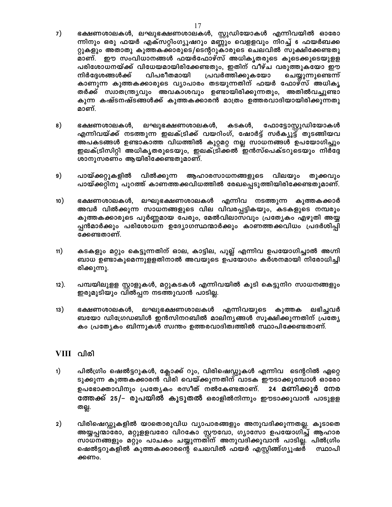- $7)$ ഭക്ഷണശാലകൾ, ലഘുഭക്ഷണശാലകൾ, സ്റ്റുഡിയോകൾ എന്നിവയിൽ ഓരോ ന്നിനും ഒരു ഫയർ എക്സറ്റിംഗ്യൂഷറും മണ്ണും വെളളവും നിറച്ച് 6 ഫയർബക്ക റ്റുകളും അതാതു കുത്തകക്കാരുടെ/ടെന്ററുകാരുടെ ചെലവിൽ സൂക്ഷിക്കേണ്ടതു മാണ്. ഈ സംവിധാനങ്ങൾ ഫയർഫോഴ്സ് അധികൃതരുടെ കൂടെക്കൂടെയുളള പരിശോധനയ്ക്ക് വിധേയമായിരിക്കേണ്ടതും, ഇതിന് വീഴ്ച വരുത്തുകയോ ഈ വിപരീതമായി പ്രവർത്തിക്കുകയോ നിർദ്ദേശങ്ങൾക്ക് ചെയ്യുന്നുണ്ടെന്ന് കാണുന്ന കുത്തകക്കാരുടെ വ്യാപാരം തടയുന്നതിന് ഫയർ ഫോഴ്സ് അധികൃ തർക്ക് സ്വാതന്ത്ര്യവും അവകാശവും ഉണ്ടായിരിക്കുന്നതും, അതിൽവച്ചുണ്ടാ കുന്ന കഷ്ടനഷ്ടങ്ങൾക്ക് കുത്തകക്കാരൻ മാത്രം ഉത്തരവാദിയായിരിക്കുന്നതു മാണ്.
- 8) ഭക്ഷണശാലകൾ, ലഘുഭക്ഷണശാലകൾ, കടകൾ, ഫോട്ടോസ്റ്റുഡിയോകൾ എന്നിവയ്ക്ക് നടത്തുന്ന ഇലക്ട്രിക്ക് വയറിംഗ്, ഷോർട്ട് സർക്യൂട്ട് തുടങ്ങിയവ അപകടങ്ങൾ ഉണ്ടാകാത്ത വിധത്തിൽ കുറ്റമറ്റ നല്ല സാധനങ്ങൾ ഉപയോഗിച്ചും ഇലക്ട്രിസിറ്റി അധികൃതരുടെയും, ഇലക്ട്രിക്കൽ ഇൻസ്പെക്ടറുടെയും നിർദ്ദേ ശാനുസരണം ആയിരിക്കേണ്ടതുമാണ്.
- 9) പായ്ക്കറ്റുകളിൽ വിൽക്കുന്ന ആഹാരസാധനങ്ങളുടെ വിലയും തൂക്കവും പായ്ക്കറ്റിനു പുറത്ത് കാണത്തക്കവിധത്തിൽ രേഖപ്പെടുത്തിയിരിക്കേണ്ടതുമാണ്.
- 10) ഭക്ഷണശാലകൾ, ലഘുഭക്ഷണശാലകൾ എന്നിവ നടത്തുന്ന കുത്തകക്കാർ അവർ വിൽക്കുന്ന സാധനങ്ങളുടെ വില വിവരപ്പട്ടികയും, കടകളുടെ നമ്പരും കുത്തകക്കാരുടെ പൂർണ്ണമായ പേരും, മേൽവിലാസവും പ്രത്യേകം എഴുതി അയ്യ പ്പൻമാർക്കും പരിശോധന ഉദ്യോഗസ്ഥന്മാർക്കും കാണത്തക്കവിധം പ്രദർശിപ്പി ക്കേണ്ടതാണ്.
- $11)$ കടകളും മറ്റും കെട്ടുന്നതിന് ഓല, കാട്ടില, പുല്ല് എന്നിവ ഉപയോഗിച്ചാൽ അഗ്നി ബാധ ഉണ്ടാകുമെന്നുളളതിനാൽ അവയുടെ ഉപയോഗം കർശനമായി നിരോധിച്ചി രിക്കുന്നു.
- പമ്പയിലുളള സ്റ്റാളുകൾ, മറ്റുകടകൾ എന്നിവയിൽ കൂടി കെട്ടുനിറ സാധനങ്ങളും  $12$ ). ഇരുമുടിയും വിൽപ്പന നടത്തുവാൻ പാടില്ല.
- $13)$ ഭക്ഷണശാലകൾ, ലഘുഭക്ഷണശാലകൾ എന്നിവയുടെ കുത്തക ലഭിച്ചവർ ബയോ ഡിഗ്രേഡബിൾ ഇൻസിനറബിൽ മാലിന്യങ്ങൾ സൂക്ഷിക്കുന്നതിന് പ്രത്യേ കം പ്രത്യേകം ബിന്നുകൾ സ്വന്തം ഉത്തരവാദിത്വത്തിൽ സ്ഥാപിക്കേണ്ടതാണ്.

## VIII വിരി

- പിൽഗ്രിം ഷെൽട്ടറുകൾ, ക്ലോക്ക് റൂം, വിരിഷെഡ്ഡുകൾ എന്നിവ ടെന്ററിൽ ഏറ്റെ  $1)$ ടുക്കുന്ന കുത്തകക്കാരൻ വിരി വെയ്ക്കുന്നതിന് വാടക ഈടാക്കുമ്പോൾ ഓരോ ഉപഭോക്താവിനും പ്രത്യേകം രസീത് നൽകേണ്ടതാണ്. 24 മണിക്കൂർ നേര ത്തേക്ക് 25/– രൂപയിൽ കൂടുതൽ ഒരാളിൽനിന്നും ഈടാക്കുവാൻ പാടുളള തല്ല.
- $2)$ വിരിഷെഡ്ഡുകളിൽ യാതൊരുവിധ വ്യാപാരങ്ങളും അനുവദിക്കുന്നതല്ല. കൂടാതെ അയ്യപ്പന്മാരോ, മറ്റുളളവരോ വിറകോ സ്റ്റൗവോ, ഗ്യാസോ ഉപയോഗിച്ച് ആഹാര സാധനങ്ങളും മറ്റും പാചകം ചയ്യുന്നതിന് അനുവദിക്കുവാൻ പാടില്ല. പിൽഗ്രിം ഷെൽട്ടറുകളിൽ കുത്തകക്കാരന്റെ ചെലവിൽ ഫയർ എസ്റ്റിങ്ങ്ഗ്യൂഷർ സ്ഥാപി ക്കണം.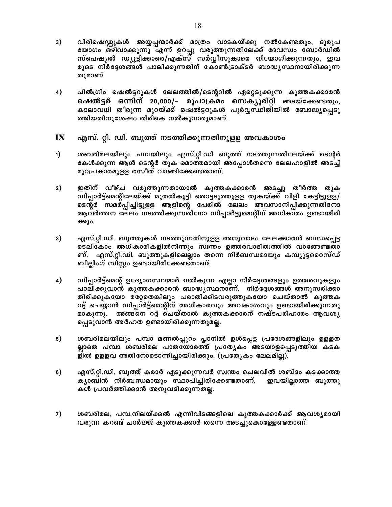- $3)$ വിരിഷെഡ്ഡുകൾ അയ്യപ്പന്മാർക്ക് മാത്രം വാടകയ്ക്കു നൽകേണ്ടതും, ദുരുപ യോഗം ഒഴിവാക്കുന്നു എന്ന് ഉറപ്പു വരുത്തുന്നതിലേക്ക് ദേവസ്വം ബോർഡിൽ സ്പെഷ്യൽ ഡ്യൂട്ടിക്കാരെ/എക്സ് സർവ്വീസുകാരെ നിയോഗിക്കുന്നതും, ഇവ രുടെ നിർദ്ദേശങ്ങൾ പാലിക്കുന്നതിന് കോൺട്രാക്ടർ ബാദ്ധ്യസ്ഥനായിരിക്കുന്ന തുമാണ്.
- 4) പിൽഗ്രിം ഷെൽട്ടറുകൾ ലേലത്തിൽ/ടെന്ററിൽ ഏറ്റെടുക്കുന്ന കുത്തകക്കാരൻ ഷെൽട്ടർ ഒന്നിന് 20,000/– രൂപാക്രമം സെക്യൂരിറ്റി അടയ്ക്കേണ്ടതും, കാലാവധി തീരുന്ന മുറയ്ക്ക് ഷെൽട്ടറുകൾ പൂർവ്വസ്ഥിതിയിൽ ബോദ്ധ്യപ്പെടു ത്തിയതിനുശേഷം തിരികെ നൽകുന്നതുമാണ്.
- $\mathbf{I}\mathbf{X}$ എസ്. റ്റി. ഡി. ബൂത്ത് നടത്തിക്കുന്നതിനുളള അവകാശം
- $1)$ ശബരിമലയിലും പമ്പയിലും എസ്.റ്റി.ഡി ബൂത്ത് നടത്തുന്നതിലേയ്ക്ക് ടെന്റർ കേൾക്കുന്ന ആൾ ടെന്റർ തുക മൊത്തമായി അപ്പോൾതന്നെ ലേലഹാളിൽ അടച്ച് മുറപ്രകാരമുളള രസീത് വാങ്ങിക്കേണ്ടതാണ്.
- $2)$ ഇതിന് വീഴ്ച വരുത്തുന്നതായാൽ കുത്തകക്കാരൻ അടച്ചു തീർത്ത തുക ഡിപ്പാർട്ട്മെന്റിലേയ്ക്ക് മുതൽകൂട്ടി തൊട്ടടുത്തുളള തുകയ്ക്ക് വിളി കേട്ടിട്ടുളള/ ടെന്റർ സമർപ്പിച്ചിട്ടുളള ആളിന്റെ പേരിൽ ലേലം അവസാനിപ്പിക്കുന്നതിനോ ആവർത്തന ലേലം നടത്തിക്കുന്നതിനോ ഡിപ്പാർട്ടുമെന്റിന് അധികാരം ഉണ്ടായിരി ക്കും.
- എസ്.റ്റി.ഡി. ബൂത്തുകൾ നടത്തുന്നതിനുളള അനുവാദം ലേലക്കാരൻ ബന്ധപ്പെട്ട 3) ടെലികോം അധികാരികളിൽനിന്നും സ്വന്തം ഉത്തരവാദിത്വത്തിൽ വാങ്ങേണ്ടതാ ണ്. എസ്.റ്റി.ഡി. ബൂത്തുകളിലെല്ലാം തന്നെ നിർബന്ധമായും കമ്പ്യൂട്ടറൈസ്ഡ് ബില്ലിംഗ് സിസ്റ്റം ഉണ്ടായിരിക്കേണ്ടതാണ്.
- 4) ഡിപ്പാർട്ട്മെന്റ് ഉദ്യോഗസ്ഥന്മാർ നൽകുന്ന എല്ലാ നിർദ്ദേശങ്ങളും ഉത്തരവുകളും പാലിക്കുവാൻ കുത്തകക്കാരൻ ബാദ്ധ്യസ്ഥനാണ്. നിർദ്ദേശങ്ങൾ അനുസരിക്കാ തിരിക്കുകയോ മറ്റേതെങ്കിലും പരാതിക്കിടവരുത്തുകയോ ചെയ്താൽ കുത്തക റദ്ദ് ചെയ്യാൻ ഡിപ്പാർട്ട്മെന്റിന് അധികാരവും അവകാശവും ഉണ്ടായിരിക്കുന്നതു മാകുന്നു. അങ്ങനെ റദ്ദ് ചെയ്താൽ കുത്തകക്കാരന് നഷ്ടപരിഹാരം ആവശ്യ പ്പെടുവാൻ അർഹത ഉണ്ടായിരിക്കുന്നതുമല്ല.
- 5) ശബരിമലയിലും പമ്പാ മണൽപ്പുറം പ്ലാനിൽ ഉൾപ്പെട്ട പ്രദേശങ്ങളിലും ഉളളത ല്ലാതെ പമ്പാ ശബരിമല പാതയോരത്ത് പ്രത്യേകം അടയാളപ്പെടുത്തിയ കടക ളിൽ ഉളളവ അതിനോടൊന്നിച്ചായിരിക്കും. (പ്രത്യേകം ലേലമില്ല).
- 6) എസ്.റ്റി.ഡി. ബൂത്ത് കരാർ എടുക്കുന്നവർ സ്വന്തം ചെലവിൽ ശബ്ദം കടക്കാത്ത ക്യാബിൻ നിർബന്ധമായും സ്ഥാപിച്ചിരിക്കേണ്ടതാണ്. ഇവയില്ലാത്ത ബൂത്തു കൾ പ്രവർത്തിക്കാൻ അനുവദിക്കുന്നതല്ല.
- 7) ശബരിമല, പമ്പ,നിലയ്ക്കൽ എന്നിവിടങ്ങളിലെ കുത്തകക്കാർക്ക് ആവശ്യമായി വരുന്ന കറണ്ട് ചാർജ്ജ് കുത്തകക്കാർ തന്നെ അടച്ചുകൊള്ളേണ്ടതാണ്.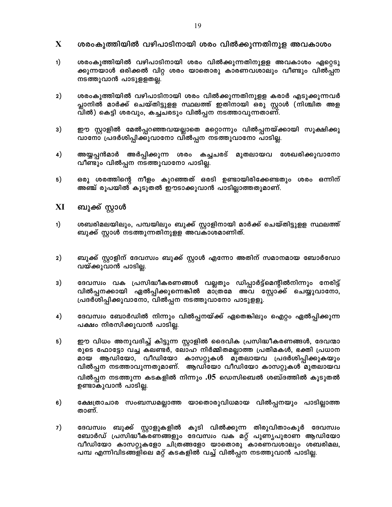- $\mathbf{X}$ ശരംകുത്തിയിൽ വഴിപാടിനായി ശരം വിൽക്കുന്നതിനുള അവകാശം
- $1)$ ശരംകുത്തിയിൽ വഴിപാടിനായി ശരം വിൽക്കുന്നതിനുളള അവകാശം ഏറ്റെടു ക്കുന്നയാൾ ഒരിക്കൽ വിറ്റ ശരം യാതൊരു കാരണവശാലും വീണ്ടും വിൽപ്പന നടത്തുവാൻ പാടുളളതല്ല.
- $2)$ ശരംകുത്തിയിൽ വഴിപാടിനായി ശരം വിൽക്കുന്നതിനുളള കരാർ എടുക്കുന്നവർ പ്ലാനിൽ മാർക്ക് ചെയ്തിട്ടുളള സ്ഥലത്ത് ഇതിനായി ഒരു സ്റ്റാൾ (നിശ്ചിത അള വിൽ) കെട്ടി ശരവും, കച്ചചരടും വിൽപ്പന നടത്താവുന്നതാണ്.
- 3) ഈ സ്റ്റാളിൽ മേൽപ്പറഞ്ഞവയല്ലാതെ മറ്റൊന്നും വിൽപ്പനയ്ക്കായി സൂക്ഷിക്കു വാനോ പ്രദർശിപ്പിക്കുവാനോ വിൽപ്പന നടത്തുവാനോ പാടില്ല.
- $4)$ അയ്യപ്പൻമാർ അർപ്പിക്കുന്ന ശരം കച്ചചരട് മുതലായവ ശേഖരിക്കുവാനോ വീണ്ടും വിൽപ്പന നടത്തുവാനോ പാടില്ല.
- $5)$ ഒരു ശരത്തിന്റെ നീളം കുറഞ്ഞത് ഒരടി ഉണ്ടായിരിക്കേണ്ടതും ശരം ഒന്നിന് അഞ്ച് രൂപയിൽ കൂടുതൽ ഇൗടാക്കുവാൻ പാടില്ലാത്തതുമാണ്.
- XI ബുക്ക് സ്റ്റാൾ
- ശബരിമലയിലും, പമ്പയിലും ബുക്ക് സ്റ്റാളിനായി മാർക്ക് ചെയ്തിട്ടുളള സ്ഥലത്ത്  $1)$ ബുക്ക് സ്റ്റാൾ നടത്തുന്നതിനുളള അവകാശമാണിത്.
- $2)$ ബുക്ക് സ്റ്റാളിന് ദേവസ്വം ബുക്ക് സ്റ്റാൾ എന്നോ അതിന് സമാനമായ ബോർഡോ വയ്ക്കുവാൻ പാടില്ല.
- 3) ദേവസ്വം വക പ്രസിദ്ധീകരണങ്ങൾ വല്ലതും ഡിപ്പാർട്ട്മെന്റിൽനിന്നും നേരിട്ട് വിൽപ്പനക്കായി ഏൽപ്പിക്കുന്നെങ്കിൽ മാത്രമേ അവ സ്റ്റോക്ക് ചെയ്യുവാനോ, പ്രദർശിപ്പിക്കുവാനോ, വിൽപ്പന നടത്തുവാനോ പാടുളളൂ.
- 4) ദേവസ്വം ബോർഡിൽ നിന്നും വിൽപ്പനയ്ക്ക് ഏതെങ്കിലും ഐറ്റം ഏൽപ്പിക്കുന്ന പക്ഷം നിരസിക്കുവാൻ പാടില്ല.
- $5)$ ഈ വിധം അനുവദിച്ച് കിട്ടുന്ന സ്റ്റാളിൽ ദൈവിക പ്രസിദ്ധീകരണങ്ങൾ, ദേവന്മാ രുടെ ഫോട്ടോ വച്ച കലണ്ടർ, ലോഹ നിർമ്മിതമല്ലാത്ത പ്രതിമകൾ, ഭക്തി പ്രധാന മായ ആഡിയോ, വീഡിയോ കാസറ്റുകൾ മുതലായവ പ്രദർശിപ്പിക്കുകയും വിൽപ്പന നടത്താവുന്നതുമാണ്. ആഡിയോ വീഡിയോ കാസറ്റുകൾ മുതലായവ വിൽപ്പന നടത്തുന്ന കടകളിൽ നിന്നും  $.05$  ഡെസിബെൽ ശബ്ദത്തിൽ കൂടുതൽ ഉണ്ടാകുവാൻ പാടില്ല.
- 6) ക്ഷേത്രാചാര സംബന്ധമല്ലാത്ത യാതൊരുവിധമായ വിൽപ്പനയും പാടില്ലാത്ത താണ്.
- 7) ദേവസ്വം ബുക്ക് സ്റ്റാളുകളിൽ കൂടി വിൽക്കുന്ന തിരുവിതാംകൂർ ദേവസ്വം ബോർഡ് പ്രസിദ്ധീകരണങ്ങളും ദേവസ്വം വക മറ്റ് പുണൃപുരാണ ആഡിയോ വീഡിയോ കാസറ്റുകളോ ചിത്രങ്ങളോ യാതൊരു കാരണവശാലും ശബരിമല, പമ്പ എന്നിവിടങ്ങളിലെ മറ്റ് കടകളിൽ വച്ച് വിൽപ്പന നടത്തുവാൻ പാടില്ല.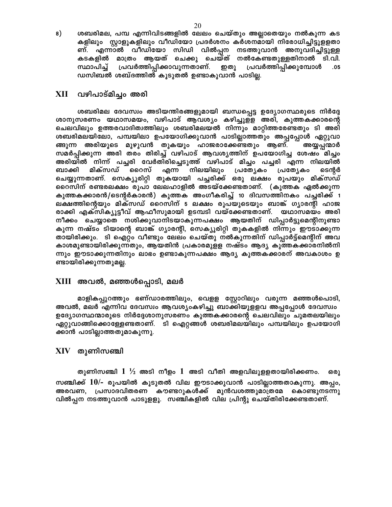8) ശബരിമല, പമ്പ എന്നിവിടങ്ങളിൽ ലേലം ചെയ്തും അല്ലാതെയും നൽകുന്ന കട കളിലും സ്റ്റാളുകളിലും വീഡിയോ പ്രദർശനം കർശനമായി നിരോധിച്ചിട്ടുളളതാ ണ്. എന്നാൽ വീഡിയോ സിഡി വിൽപ്പന നടത്തുവാൻ അനുവദിച്ചിട്ടുള്ള<br>കടകളിൽ മാത്രം ആയത് ചെക്കു ചെയ്ത് നൽകേണ്ടതുള്ളതിനാൽ ടി.വി. സ്ഥാപിച്ച് പ്രവർത്തിപ്പിക്കാവുന്നതാണ്. ഇതു പ്രവർത്തിപ്പിക്കുമ്പോൾ  $.05$ ഡസിബൽ ശബ്ദത്തിൽ കൂടുതൽ ഉണ്ടാകുവാൻ പാടില്ല.

#### വഴിപാട്മിച്ചം അരി XII —

ശബരിമല ദേവസ്വം അടിയന്തിരങ്ങളുമായി ബന്ധപ്പെട്ട ഉദ്യോഗസ്ഥരുടെ നിർദ്ദേ ശാനുസരണം യഥാസമയം, വഴിപാട് ആവശ്യം കഴിച്ചുള്ള അരി, കുത്തകക്കാരന്റെ ചെലവിലും ഉത്തരവാദിത്വത്തിലും ശബരിമലയൽ നിന്നും മാറ്റിത്തരേണ്ടതും ടി അരി ശബരിമലയിലോ, പമ്പയിലാ ഉപയോഗിക്കുവാൻ പാടില്ലാത്തതും അപ്പപ്പോൾ ഏറ്റുവാ ങ്ങുന്ന അരിയുടെ മുഴുവൻ തുകയും ഹാജരാക്കേണ്ടതും ആണ്. അയ്യപ്പന്മാർ സമർപ്പിക്കുന്ന അരി തരം തിരിച്ച് വഴിപാട് ആവശ്യത്തിന് ഉപയോഗിച്ച ശേഷം മിച്ചം അരിയിൽ നിന്ന് പച്ചരി വേർതിരിച്ചെടുത്ത് വഴിപാട് മിച്ചം പച്ചരി എന്ന നിലയിൽ പ്രത്യേകം ബാക്കി മിക്സഡ് റൈസ് എന്ന നിലയിലും പ്രത്യേകം ടെന്റർ ചെയ്യുന്നതാണ്. സെക്യുരിറ്റി തുകയായി പച്ചരിക്ക് ഒരു ലക്ഷം രുപയും മിക്സഡ് റൈസിന് രണ്ടരലക്ഷം രൂപാ ലേലഹാളിൽ അടയ്ക്കേണ്ടതാണ്. (കുത്തക ഏൽക്കുന്ന കുത്തകക്കാരൻ/ടെന്റർകാരൻ) കുത്തക അംഗീകരിച്ച് 10 ദിവസത്തിനകം പച്ചരിക്ക് 1 ലക്ഷത്തിന്റെയും മിക്സഡ് റൈസിന് 5 ലക്ഷം രൂപയുടെയും ബാങ്ക് ഗൃാരന്റി ഹാജ രാക്കി എക്സിക്യൂട്ടീവ് ആഫീസുമായി ഉടമ്പടി വയ്ക്കേണ്ടതാണ്. യഥാസമയം അരി നീക്കം ചെയ്യാതെ നശിക്കുവാനിടയാകുന്നപക്ഷം ആയതിന് ഡിപ്പാർട്ടുമെന്റിനുണ്ടാ കുന്ന നഷ്ടം ടിയാന്റെ ബാങ്ക് ഗ്യാരന്റി, സെക്യൂരിറ്റി തുകകളിൽ നിന്നും ഈടാക്കുന്ന തായിരിക്കും. ടി ഐറ്റം വീണ്ടും ലേലം ചെയ്തു നൽകുന്നതിന് ഡിപ്പാർട്ട്മെന്റിന് അവ കാശമുണ്ടായിരിക്കുന്നതും, ആയതിൻ പ്രകാരമുളള നഷ്ടം ആദ്യ കുത്തകക്കാരനിൽനി ന്നും ഈടാക്കുന്നതിനും ലാഭം ഉണ്ടാകുന്നപക്ഷം ആദ്യ കുത്തകക്കാരന് അവകാശം ഉ ണ്ടായിരിക്കുന്നതുമല്ല.

## XIII അവൽ, മഞ്ഞൾപ്പൊടി, മലർ

മാളികപ്പുറത്തും ഭണ്ഡാരത്തിലും, വെളള സ്റ്റോറിലും വരുന്ന മഞ്ഞൾപൊടി, അവൽ, മലർ എന്നിവ ദേവസ്വം ആവശ്യംകഴിച്ചു ബാക്കിയുളളവ അപ്പപ്പോൾ ദേവസ്വം ഉദ്യോഗസ്ഥന്മാരുടെ നിർദ്ദേശാനുസരണം കുത്തകക്കാരന്റെ ചെലവിലും ചുമതലയിലും ഏറ്റുവാങ്ങിക്കൊള്ളേണ്ടതാണ്. ടി ഐറ്റങ്ങൾ ശബരിമലയിലും പമ്പയിലും ഉപയോഗി ക്കാൻ പാടില്ലാത്തതുമാകുന്നു.

## $XIV$  തുണിസഞ്ചി

തുണിസഞ്ചി  $1 \frac{1}{2}$  അടി നീളം  $1$  അടി വീതി അളവിലുളളതായിരിക്കണം. ഒരു സഞ്ചിക്ക് 10/- രൂപയിൽ കൂടുതൽ വില ഈടാക്കുവാൻ പാടില്ലാത്തതാകുന്നു. അപ്പം, അരവണ, പ്രസാദവിതരണ കൗണ്ടറുകൾക്ക് മുൻവശത്തുമാത്രമേ കൊണ്ടുനടന്നു വിൽപ്പന നടത്തുവാൻ പാടുളളൂ. സഞ്ചികളിൽ വില പ്രിന്റു ചെയ്തിരിക്കേണ്ടതാണ്.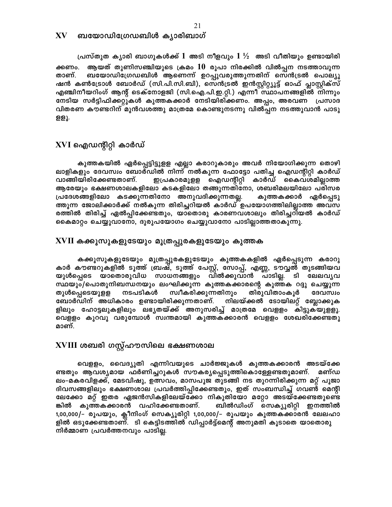പ്രസ്തുത ക്യാരി ബാഗുകൾക്ക്  $1$  അടി നീളവും  $1\frac{1}{2}$  അടി വീതിയും ഉണ്ടായിരി ആയത് തുണിസഞ്ചിയുടെ ക്രമം  $10$  രൂപാ നിരക്കിൽ വിൽപ്പന നടത്താവുന്ന ക്കണം. ബയോഡിഗ്രേഡബിൾ ആണെന്ന് ഉറപ്പുവരുത്തുന്നതിന് സെൻട്രൽ പൊല്യൂ താണ്. ഷൻ കൺട്രോൾ ബോർഡ് (സി.പി.സി.ബി), സെൻട്രൽ ഇൻസ്റ്റിറ്റ്യൂട്ട് ഓഫ് പ്ലാസ്റ്റിക്സ് എഞ്ചിനീയറിംഗ് ആന്റ് ടെക്നോളജി (സി.ഐ.പി.ഇ.റ്റി.) എന്നീ സ്ഥാപനങ്ങളിൽ നിന്നും നേടിയ സർട്ടിഫിക്കറ്റുകൾ കുത്തകക്കാർ നേടിയിരിക്കണം. അപ്പം, അരവണ പ്രസാദ വിതരണ കൗണ്ടറിന് മുൻവശത്തു മാത്രമേ കൊണ്ടുനടന്നു വിൽപ്പന നടത്തുവാൻ പാടു ളളൂ.

# XVI ഐഡന്റിറ്റി കാർഡ്

കുത്തകയിൽ ഏർപ്പെട്ടിട്ടുളള എല്ലാ കരാറുകാരും അവർ നിയോഗിക്കുന്ന തൊഴി ലാളികളും ദേവസ്വം ബോർഡിൽ നിന്ന് നൽകുന്ന ഫോട്ടോ പതിച്ച ഐഡന്റിറ്റി കാർഡ് വാങ്ങിയിരിക്കേണ്ടതാണ്. ഇപ്രകാരമുളള ഐഡന്റിറ്റി കാർഡ് കൈവശമില്ലാത്ത ആരേയും ഭക്ഷണശാലകളിലോ കടകളിലോ തങ്ങുന്നതിനോ, ശബരിമലയിലോ പരിസര പ്രദേശങ്ങളിലോ കടക്കുന്നതിനോ അനുവദിക്കുന്നതല്ല. കുത്തകക്കാർ ഏർപ്പെടു ത്തുന്ന ജോലിക്കാർക്ക് നൽകുന്ന തിരിച്ചറിയൽ കാർഡ് ഉപയോഗത്തിലില്ലാത്ത അവസ രത്തിൽ തിരിച്ച് ഏൽപ്പിക്കേണ്ടതും, യാതൊരു കാരണവശാലും തിരിച്ചറിയൽ കാർഡ് കൈമാറ്റം ചെയ്യുവാനോ, ദുരുപയോഗം ചെയ്യുവാനോ പാടില്ലാത്തതാകുന്നു.

## ${\bf XVII}$  കക്കൂസുകളുടേയും മൂത്രപ്പുരകളുടേയും കുത്തക

കക്കൂസുകളുടേയും മൂത്രപ്പുരകളുടേയും കുത്തകകളിൽ ഏർപ്പെടുന്ന കരാറു കാർ കൗണ്ടറുകളിൽ ടൂത്ത് ബ്രഷ്, ടൂത്ത് പേസ്റ്റ്, സോപ്പ്, എണ്ണ, ടൗവ്വൽ തുടങ്ങിയവ യുൾപ്പെടെ യാതൊരുവിധ സാധനങ്ങളും വിൽക്കുവാൻ പാടില്ല. ടി ലേലവൃവ സ്ഥയും/പൊതുനിബന്ധനയും ലംഘിക്കുന്ന കുത്തകക്കാരന്റെ കുത്തക റദ്ദു ചെയ്യുന്ന നടപടികൾ സ്വീകരിക്കുന്നതിനും തിരുവിതാംകുർ തുൾപ്പെടെയുള്ള ദേവസ്വം ബോർഡിന് അധികാരം ഉണ്ടായിരിക്കുന്നതാണ്. നിലയ്ക്കൽ ടോയിലറ്റ് ബ്ലോക്കുക ളിലും ഹോട്ടലുകളിലും ലഭ്യതയ്ക്ക് അനുസരിച്ച് മാത്രമേ വെളളം കിട്ടുകയുളളൂ. വെളളം കുറവു വരുമ്പോൾ സ്വന്തമായി കുത്തകക്കാരൻ വെളളം ശേഖരിക്കേണ്ടതു മാണ്.

# XVIII ശബരി ഗസ്റ്റ്ഹൗസിലെ ഭക്ഷണശാല

വെളളം, വൈദ്യുതി എന്നിവയുടെ ചാർജ്ജുകൾ കുത്തകക്കാരൻ അടയ്ക്കേ ണ്ടതും ആവശ്യമായ ഫർണിച്ചറുകൾ സൗകര്യപ്പെടുത്തികൊള്ളേണ്ടതുമാണ്. മണ്ഡ ലം-മകരവിളക്ക്, മേടവിഷു, ഉത്സവം, മാസപൂജ തുടങ്ങി നട തുറന്നിരിക്കുന്ന മറ്റ് പൂജാ ദിവസങ്ങളിലും ഭക്ഷണശാല പ്രവർത്തിപ്പിക്കേണ്ടതും, ഇത് സംബന്ധിച്ച് ഗവൺ മെന്റി ലേക്കോ മറ്റ് ഇതര ഏജൻസികളിലേയ്ക്കോ നികുതിയോ മറ്റോ അടയ്ക്കേണ്ടതുണ്ടെ ങ്കിൽ കുത്തകക്കാരൻ വഹിക്കേണ്ടതാണ്. ബിൽഡിംഗ് സെക്യൂരിറ്റി ഇനത്തിൽ 1,00,000/– രൂപയും, ക്ലീനിംഗ് സെക്യൂരിറ്റി 1,00,000/– രൂപയും കുത്തകക്കാരൻ ലേലഹാ ളിൽ ഒടുക്കേണ്ടതാണ്. ടി കെട്ടിടത്തിൽ ഡിപ്പാർട്ട്മെന്റ് അനുമതി കൂടാതെ യാതൊരു നിർമ്മാണ പ്രവർത്തനവും പാടില്ല.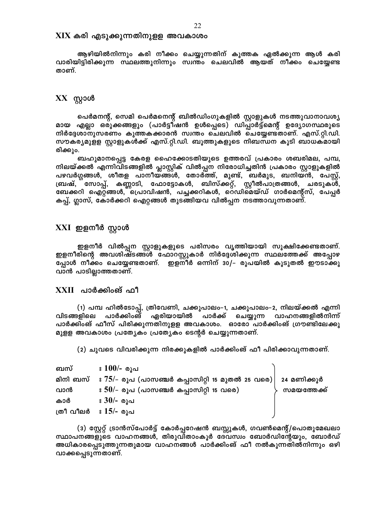#### ${\rm XIX}$  കരി എടുക്കുന്നതിനുളള അവകാശം

ആഴിയിൽനിന്നും കരി നീക്കം ചെയ്യുന്നതിന് കുത്തക ഏൽക്കുന്ന ആൾ കരി വാരിയിട്ടിരിക്കുന്ന സ്ഥലത്തുനിന്നും സ്വന്തം ചെലവിൽ ആയത് നീക്കം ചെയ്യേണ്ട താണ്.

## $XX$  സ്റ്റാൾ

പെർമനന്റ്, സെമി പെർമനെന്റ് ബിൽഡിംഗുകളിൽ സ്റ്റാളുകൾ നടത്തുവാനാവശ്യ മായ എല്ലാ ഒരുക്കങ്ങളും (പാർട്ടീഷൻ ഉൾപ്പെടെ) ഡിപ്പാർട്ട്മെന്റ് ഉദ്യോഗസ്ഥരുടെ നിർദ്ദേശാനുസരണം കുത്തകക്കാരൻ സ്വന്തം ചെലവിൽ ചെയ്യേണ്ടതാണ്. എസ്.റ്റി.ഡി. സൗകര്യമുളള സ്റ്റാളുകൾക്ക് എസ്.റ്റി.ഡി. ബൂത്തുകളുടെ നിബന്ധന കൂടി ബാധകമായി രിക്കും.

ബഹുമാനപ്പെട്ട കേരള ഹൈക്കോടതിയുടെ ഉത്തരവ് പ്രകാരം ശബരിമല, പമ്പ, നിലയ്ക്കൽ എന്നിവിടങ്ങളിൽ പ്ലാസ്റ്റിക് വിൽപ്പന നിരോധിച്ചതിൻ പ്രകാരം സ്റ്റാളുകളിൽ പഴവർഗ്ഗങ്ങൾ, ശീതള പാനീയ്ങ്ങൾ, തോർത്ത്, മുണ്ട്, ബർമുട, ബനിയൻ, പേസ്റ്റ്, ബ്രഷ്, സോപ്പ്, കണ്ണാടി, ഫോട്ടോകൾ, ബിസ്ക്കറ്റ്, സ്റ്റീൽപാത്രങ്ങൾ, ചരടുകൾ, ബേക്കറി ഐറ്റങ്ങൾ, പ്രൊവിഷൻ, പച്ചക്കറികൾ, റെഡിമെയ്ഡ് ഗാർമെന്റ്സ്, പേപ്പർ കപ്പ്, ഗ്ലാസ്, കോർക്കറി ഐറ്റങ്ങൾ തുടങ്ങിയവ വിൽപ്പന നടത്താവുന്നതാണ്.

## $\boldsymbol{\mathrm{XXI}}$  ഇളനീർ സ്റ്റാൾ

ഇളനീർ വിൽപ്പന സ്റ്റാളുകളുടെ പരിസരം വൃത്തിയായി സൂക്ഷിക്കേണ്ടതാണ്. ഇളനീരിന്റെ അവശിഷ്ടങ്ങൾ ഫോറസ്റ്റുകാർ നിർദ്ദേശിക്കുന്ന സ്ഥലത്തേക്ക് അപ്പോഴ പ്പോൾ നീക്കം ചെയ്യേണ്ടതാണ്. ഇളനീർ ഒന്നിന് 30/– രൂപയിൽ കൂടുതൽ ഈടാക്കു വാൻ പാടില്ലാത്തതാണ്.

## $XXII$  പാർക്കിംങ് ഫീ

(1) പമ്പ ഹിൽടോപ്പ്, ത്രിവേണി, ചക്കുപാലം–1, ചക്കുപാലം–2, നിലയ്ക്കൽ എന്നി വിടങ്ങളിലെ പാർക്കിംങ് ഏരിയായിൽ പാർക്ക് ചെയ്യുന്ന വാഹനങ്ങളിൽനിന്ന് പാർക്കിംങ് ഫീസ് പിരിക്കുന്നതിനുളള അവകാശം. ഓരോ പാർക്കിംങ് ഗ്രൗണ്ടിലേക്കു മുളള അവകാശം പ്രത്യേകം പ്രത്യേകം ടെന്റർ ചെയ്യുന്നതാണ്.

(2) ചുവടെ വിവരിക്കുന്ന നിരക്കുകളിൽ പാർക്കിംങ് ഫീ പിരിക്കാവുന്നതാണ്.

| ബസ്                  | ഃ 100/- രുപ                                                                         |             |
|----------------------|-------------------------------------------------------------------------------------|-------------|
|                      | മിനി ബസ് $\,$ $\,$ $75/-$ രൂപ (പാസഞ്ചർ കപ്പാസിറ്റി 15 മുതൽ 25 വരെ) $\,$ 24 മണിക്കൂർ |             |
| വാൻ                  | $\pm 50/$ – രൂപ (പാസഞ്ചർ കപ്പാസിറ്റി 15 വരെ)                                        | സമയത്തേക്ക് |
| കാർ                  | ഃ 30/- രൂപ                                                                          |             |
| ത്രീ വീലർ ഃ 15/- രൂപ |                                                                                     |             |

(3) സ്റ്റേറ്റ് ട്രാൻസ്പോർട്ട് കോർപ്പറേഷൻ ബസ്സുകൾ, ഗവൺമെന്റ്/പൊതുമേഖലാ സ്ഥാപനങ്ങളുടെ വാഹനങ്ങൾ, തിരുവിതാംകൂർ ദേവസ്വം ബോർഡിന്റേയും, ബോർഡ് അധികാരപ്പെടുത്തുന്നതുമായ വാഹനങ്ങൾ പാർക്കിംങ് ഫീ നൽകുന്നതിൽനിന്നും ഒഴി വാക്കപ്പെടുന്നതാണ്.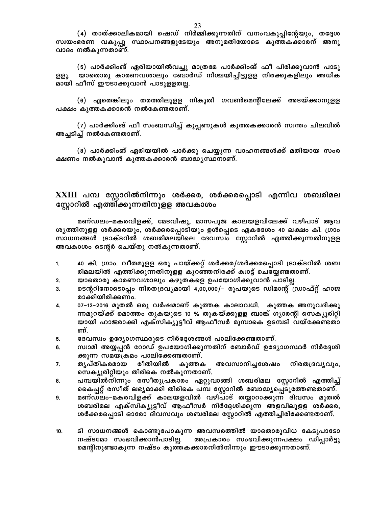(4) താത്ക്കാലികമായി ഷെഡ് നിർമ്മിക്കുന്നതിന് വനംവകുപ്പിന്റേയും, തദ്ദേശ സ്വയംഭരണ വകുപ്പു സ്ഥാപനങ്ങളുടേയും അനുമതിയോടെ കുത്തകക്കാരന് അനു വാദം നൽകുന്നതാണ്.

(5) പാർക്കിംങ് ഏരിയായിൽവച്ചു മാത്രമേ പാർക്കിംങ് ഫീ പിരിക്കുവാൻ പാടു യാതൊരു കാരണവശാലും ബോർഡ് നിശ്ചയിച്ചിട്ടുള്ള നിരക്കുകളിലും അധിക ള്ളു. മായി ഫീസ് ഈടാക്കുവാൻ പാടുളളതല്ല.

(6) ഏതെങ്കിലും തരത്തിലുളള നികുതി ഗവൺമെന്റിലേക്ക് അടയ്ക്കാനുളള പക്ഷം കുത്തകക്കാരൻ നൽകേണ്ടതാണ്.

(7) പാർക്കിംങ് ഫീ സംബന്ധിച്ച് കൂപ്പണുകൾ കുത്തകക്കാരൻ സ്വന്തം ചിലവിൽ അച്ചടിച്ച് നൽകേണ്ടതാണ്.

(8) പാർക്കിംങ് ഏരിയയിൽ പാർക്കു ചെയ്യുന്ന വാഹനങ്ങൾക്ക് മതിയായ സംര ക്ഷണം നൽകുവാൻ കുത്തകക്കാരൻ ബാദ്ധ്യസ്ഥനാണ്.

XXIII പമ്പ സ്റ്റോറിൽനിന്നും ശർക്കര, ശർക്കരപ്പൊടി എന്നിവ ശബരിമല സ്റ്റോറിൽ എത്തിക്കുന്നതിനുളള അവകാശം

മണ്ഡലം-മകരവിളക്ക്, മേടവിഷു, മാസപൂജ കാലയളവിലേക്ക് വഴിപാട് ആവ ശ്യത്തിനുളള ശർക്കരയും, ശർക്കരപ്പൊടിയും ഉൾപ്പെടെ ഏകദേശം 40 ലക്ഷം കി. ഗ്രാം സാധനങ്ങൾ ട്രാക്ടറിൽ ശബരിമലയിലെ ദേവസ്വം സ്റ്റോറിൽ എത്തിക്കുന്നതിനുളള അവകാശം ടെന്റർ ചെയ്തു നൽകുന്നതാണ്.

- 40 കി. ഗ്രാം. വീതമുളള ഒരു പായ്ക്കറ്റ് ശർക്കര/ശർക്കരപ്പൊടി ട്രാക്ടറിൽ ശബ  $1.$ രിമലയിൽ എത്തിക്കുന്നതിനുളള കുറഞ്ഞനിരക്ക് ക്വാട്ട് ചെയ്യേണ്ടതാണ്.
- യാതൊരു കാരണവശാലും കഴുതകളെ ഉപയോഗിക്കുവാൻ പാടില്ല. 2.
- ടെന്ററിനോടൊപ്പം നിരതദ്രവ്യമായി 4,00,000/– രൂപയുടെ ഡിമാന്റ് ഡ്രാഫ്റ്റ് ഹാജ  $\mathbf{R}$ രാക്കിയിരിക്കണം.
- 07–12–2016 മുതൽ ഒരു വർഷമാണ് കുത്തക കാലാവധി. കുത്തക അനുവദിക്കു 4. ന്നമുറയ്ക്ക് മൊത്തം തുകയുടെ 10 % തുകയ്ക്കുളള ബാങ്ക് ഗൃാരന്റി സെക്യൂരിറ്റി യായി ഹാജരാക്കി എക്സിക്യൂട്ടീവ് ആഫീസർ മുമ്പാകെ ഉടമ്പടി വയ്ക്കേണ്ടതാ ണ്.
- ദേവസ്വം ഉദ്യോഗസ്ഥരുടെ നിർദ്ദേശങ്ങൾ പാലിക്കേണ്ടതാണ്. 5.
- സ്വാമി അയ്യപ്പൻ റോഡ് ഉപയോഗിക്കുന്നതിന് ബോർഡ് ഉദ്യോഗസ്ഥർ നിർദ്ദേശി 6. ക്കുന്ന സമയക്രമം പാലിക്കേണ്ടതാണ്.
- ത്യപ്തികരമായ രീതിയിൽ അവസാനിച്ചശേഷം നിരതദ്രവൃവും, 7. കുത്തക സെക്യൂരിറ്റിയും തിരികെ നൽകുന്നതാണ്.
- പമ്പയിൽനിന്നും രസീതുപ്രകാരം ഏറ്റുവാങ്ങി ശബരിമല സ്റ്റോറിൽ എത്തിച്ച് 8. കൈപ്പറ്റ് രസീത് ലഭ്യമാക്കി തിരികെ പമ്പ സ്റ്റോറിൽ ബോദ്ധ്യപ്പെടുത്തേണ്ടതാണ്.
- മണ്ഡലം–മകരവിളക്ക് കാലയളവിൽ വഴിപാട് തയ്യാറാക്കുന്ന ദിവസം മുതൽ 9. ശബരിമല എക്സിക്യൂട്ടീവ് ആഫീസർ നിർദ്ദേശിക്കുന്ന അളവിലുളള ശർക്കര, ശർക്കരപ്പൊടി ഓരോ ദിവസവും ശബരിമല സ്റ്റോറിൽ എത്തിച്ചിരിക്കേണ്ടതാണ്.
- ടി സാധനങ്ങൾ കൊണ്ടുപോകുന്ന അവസരത്തിൽ യാതൊരുവിധ കേടുപാടോ  $10.$ നഷ്ടമോ സംഭവിക്കാൻപാടില്ല. അപ്രകാരം സംഭവിക്കുന്നപക്ഷം ഡിപ്പാർട്ടു മെന്റിനുണ്ടാകുന്ന നഷ്ടം കുത്തകക്കാരനിൽനിന്നും ഈടാക്കുന്നതാണ്.